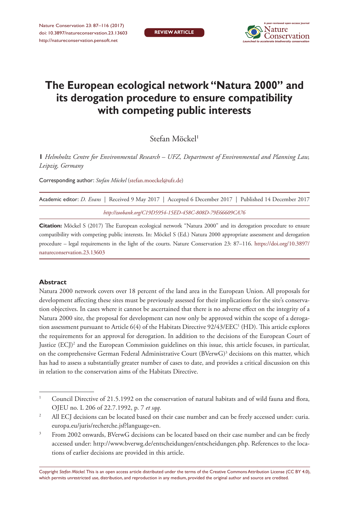

# **The European ecological network "Natura 2000" and its derogation procedure to ensure compatibility with competing public interests**

Stefan Möckel<sup>1</sup>

**1** *Helmholtz Centre for Environmental Research – UFZ, Department of Environmental and Planning Law, Leipzig, Germany*

Corresponding author: *Stefan Möckel* ([stefan.moeckel@ufz.de\)](mailto:stefan.moeckel@ufz.de)

| Academic editor: <i>D. Evans</i> Received 9 May 2017 Accepted 6 December 2017 Published 14 December 2017 |
|----------------------------------------------------------------------------------------------------------|
| http://zoobank.org/C19D5954-15ED-458C-808D-79E66609CA76                                                  |

**Citation:** Möckel S (2017) The European ecological network "Natura 2000" and its derogation procedure to ensure compatibility with competing public interests. In: Möckel S (Ed.) Natura 2000 appropriate assessment and derogation procedure – legal requirements in the light of the courts. Nature Conservation 23: 87–116. [https://doi.org/10.3897/](https://doi.org/10.3897/natureconservation.23.13603) [natureconservation.23.13603](https://doi.org/10.3897/natureconservation.23.13603)

## **Abstract**

Natura 2000 network covers over 18 percent of the land area in the European Union. All proposals for development affecting these sites must be previously assessed for their implications for the site's conservation objectives. In cases where it cannot be ascertained that there is no adverse effect on the integrity of a Natura 2000 site, the proposal for development can now only be approved within the scope of a derogation assessment pursuant to Article  $6(4)$  of the Habitats Directive  $92/43/EEC<sup>1</sup>$  (HD). This article explores the requirements for an approval for derogation. In addition to the decisions of the European Court of Justice (ECJ)2 and the European Commission guidelines on this issue, this article focuses, in particular, on the comprehensive German Federal Administrative Court (BVerwG)<sup>3</sup> decisions on this matter, which has had to assess a substantially greater number of cases to date, and provides a critical discussion on this in relation to the conservation aims of the Habitats Directive.

Copyright *Stefan Möckel.* This is an open access article distributed under the terms of the [Creative Commons Attribution License \(CC BY 4.0\),](http://creativecommons.org/licenses/by/4.0/) which permits unrestricted use, distribution, and reproduction in any medium, provided the original author and source are credited.

Council Directive of 21.5.1992 on the conservation of natural habitats and of wild fauna and flora, OJEU no. L 206 of 22.7.1992, p. 7 *et sqq*.

<sup>2</sup> All ECJ decisions can be located based on their case number and can be freely accessed under: curia. europa.eu/juris/recherche.jsf?language=en.

<sup>&</sup>lt;sup>3</sup> From 2002 onwards, BVerwG decisions can be located based on their case number and can be freely accessed under: <http://www.bverwg.de/entscheidungen/entscheidungen.php>. References to the locations of earlier decisions are provided in this article.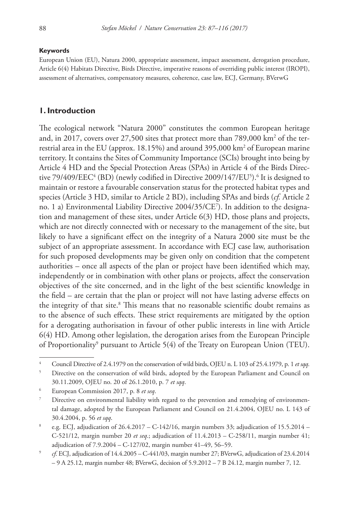#### **Keywords**

European Union (EU), Natura 2000, appropriate assessment, impact assessment, derogation procedure, Article 6(4) Habitats Directive, Birds Directive, imperative reasons of overriding public interest (IROPI), assessment of alternatives, compensatory measures, coherence, case law, ECJ, Germany, BVerwG

## **1. Introduction**

The ecological network "Natura 2000" constitutes the common European heritage and, in 2017, covers over 27,500 sites that protect more than 789,000 km² of the terrestrial area in the EU (approx. 18.15%) and around 395,000 km2 of European marine territory. It contains the Sites of Community Importance (SCIs) brought into being by Article 4 HD and the Special Protection Areas (SPAs) in Article 4 of the Birds Directive 79/409/EEC<sup>4</sup> (BD) (newly codified in Directive 2009/147/EU<sup>5</sup>).<sup>6</sup> It is designed to maintain or restore a favourable conservation status for the protected habitat types and species (Article 3 HD, similar to Article 2 BD), including SPAs and birds (*cf.* Article 2 no. 1 a) Environmental Liability Directive 2004/35/CE7 ). In addition to the designation and management of these sites, under Article 6(3) HD, those plans and projects, which are not directly connected with or necessary to the management of the site, but likely to have a significant effect on the integrity of a Natura 2000 site must be the subject of an appropriate assessment. In accordance with ECJ case law, authorisation for such proposed developments may be given only on condition that the competent authorities – once all aspects of the plan or project have been identified which may, independently or in combination with other plans or projects, affect the conservation objectives of the site concerned, and in the light of the best scientific knowledge in the field – are certain that the plan or project will not have lasting adverse effects on the integrity of that site.<sup>8</sup> This means that no reasonable scientific doubt remains as to the absence of such effects. These strict requirements are mitigated by the option for a derogating authorisation in favour of other public interests in line with Article 6(4) HD. Among other legislation, the derogation arises from the European Principle of Proportionality<sup>9</sup> pursuant to Article 5(4) of the Treaty on European Union (TEU).

<sup>4</sup> Council Directive of 2.4.1979 on the conservation of wild birds, OJEU n. L 103 of 25.4.1979, p. 1 *et sqq*.

<sup>&</sup>lt;sup>5</sup> Directive on the conservation of wild birds, adopted by the European Parliament and Council on 30.11.2009, OJEU no. 20 of 26.1.2010, p. 7 *et sqq*.

<sup>6</sup> European Commission 2017, p. 8 *et seq*.

Directive on environmental liability with regard to the prevention and remedying of environmental damage, adopted by the European Parliament and Council on 21.4.2004, OJEU no. L 143 of 30.4.2004, p. 56 *et sqq*.

<sup>&</sup>lt;sup>8</sup> e.g. ECJ, adjudication of  $26.4.2017 - C-142/16$ , margin numbers 33; adjudication of 15.5.2014 – C-521/12, margin number 20 *et seq*.; adjudication of 11.4.2013 – C-258/11, margin number 41; adjudication of 7.9.2004 – C-127/02, margin number 41–49, 56–59.

<sup>9</sup> *cf*. ECJ, adjudication of 14.4.2005 – C-441/03, margin number 27; BVerwG, adjudication of 23.4.2014 – 9 A 25.12, margin number 48; BVerwG, decision of 5.9.2012 – 7 B 24.12, margin number 7, 12.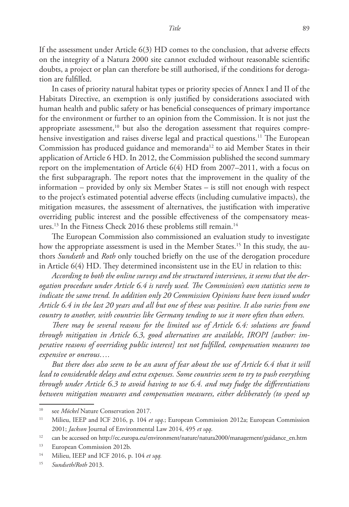If the assessment under Article 6(3) HD comes to the conclusion, that adverse effects on the integrity of a Natura 2000 site cannot excluded without reasonable scientific doubts, a project or plan can therefore be still authorised, if the conditions for derogation are fulfilled.

In cases of priority natural habitat types or priority species of Annex I and II of the Habitats Directive, an exemption is only justified by considerations associated with human health and public safety or has beneficial consequences of primary importance for the environment or further to an opinion from the Commission. It is not just the appropriate assessment, $10$  but also the derogation assessment that requires comprehensive investigation and raises diverse legal and practical questions.<sup>11</sup> The European Commission has produced guidance and memoranda<sup>12</sup> to aid Member States in their application of Article 6 HD. In 2012, the Commission published the second summary report on the implementation of Article  $6(4)$  HD from 2007–2011, with a focus on the first subparagraph. The report notes that the improvement in the quality of the information – provided by only six Member States – is still not enough with respect to the project's estimated potential adverse effects (including cumulative impacts), the mitigation measures, the assessment of alternatives, the justification with imperative overriding public interest and the possible effectiveness of the compensatory measures.<sup>13</sup> In the Fitness Check 2016 these problems still remain.<sup>14</sup>

The European Commission also commissioned an evaluation study to investigate how the appropriate assessment is used in the Member States.<sup>15</sup> In this study, the authors *Sundseth* and *Roth* only touched briefly on the use of the derogation procedure in Article  $6(4)$  HD. They determined inconsistent use in the EU in relation to this:

*According to both the online surveys and the structured interviews, it seems that the derogation procedure under Article 6.4 is rarely used. The Commission's own statistics seem to indicate the same trend. In addition only 20 Commission Opinions have been issued under Article 6.4 in the last 20 years and all but one of these was positive. It also varies from one country to another, with countries like Germany tending to use it more often than others.*

*There may be several reasons for the limited use of Article 6.4: solutions are found through mitigation in Article 6.3, good alternatives are available, IROPI [author: imperative reasons of overriding public interest] test not fulfilled, compensation measures too expensive or onerous….*

*But there does also seem to be an aura of fear about the use of Article 6.4 that it will lead to considerable delays and extra expenses. Some countries seem to try to push everything through under Article 6.3 to avoid having to use 6.4. and may fudge the differentiations between mitigation measures and compensation measures, either deliberately (to speed up* 

<sup>10</sup> see *Möckel* Nature Conservation 2017.

<sup>11</sup> Milieu, IEEP and ICF 2016, p. 104 *et sqq.*; European Commission 2012a; European Commission 2001; *Jackson* Journal of Environmental Law 2014, 495 *et sqq*.

<sup>&</sup>lt;sup>12</sup> can be accessed on [http://ec.europa.eu/environment/nature/natura2000/management/guidance\\_en.htm](http://ec.europa.eu/environment/nature/natura2000/management/guidance_en.htm)

<sup>13</sup> European Commission 2012b.

<sup>14</sup> Milieu, IEEP and ICF 2016, p. 104 *et sqq.*

<sup>15</sup> *Sundseth/Roth* 2013.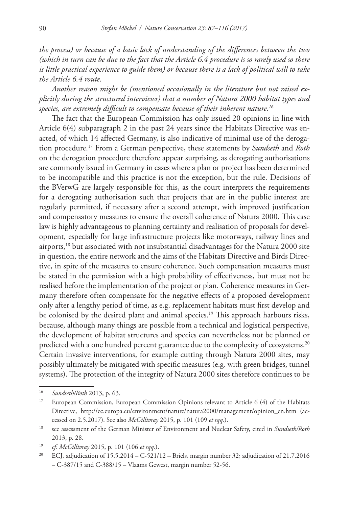*the process) or because of a basic lack of understanding of the differences between the two (which in turn can be due to the fact that the Article 6.4 procedure is so rarely used so there is little practical experience to guide them) or because there is a lack of political will to take the Article 6.4 route.*

*Another reason might be (mentioned occasionally in the literature but not raised explicitly during the structured interviews) that a number of Natura 2000 habitat types and species, are extremely difficult to compensate because of their inherent nature.16*

The fact that the European Commission has only issued 20 opinions in line with Article 6(4) subparagraph 2 in the past 24 years since the Habitats Directive was enacted, of which 14 affected Germany, is also indicative of minimal use of the derogation procedure.17 From a German perspective, these statements by *Sundseth* and *Roth* on the derogation procedure therefore appear surprising, as derogating authorisations are commonly issued in Germany in cases where a plan or project has been determined to be incompatible and this practice is not the exception, but the rule. Decisions of the BVerwG are largely responsible for this, as the court interprets the requirements for a derogating authorisation such that projects that are in the public interest are regularly permitted, if necessary after a second attempt, with improved justification and compensatory measures to ensure the overall coherence of Natura 2000. This case law is highly advantageous to planning certainty and realisation of proposals for development, especially for large infrastructure projects like motorways, railway lines and airports,18 but associated with not insubstantial disadvantages for the Natura 2000 site in question, the entire network and the aims of the Habitats Directive and Birds Directive, in spite of the measures to ensure coherence. Such compensation measures must be stated in the permission with a high probability of effectiveness, but must not be realised before the implementation of the project or plan. Coherence measures in Germany therefore often compensate for the negative effects of a proposed development only after a lengthy period of time, as e.g. replacement habitats must first develop and be colonised by the desired plant and animal species.19 This approach harbours risks, because, although many things are possible from a technical and logistical perspective, the development of habitat structures and species can nevertheless not be planned or predicted with a one hundred percent guarantee due to the complexity of ecosystems.<sup>20</sup> Certain invasive interventions, for example cutting through Natura 2000 sites, may possibly ultimately be mitigated with specific measures (e.g. with green bridges, tunnel systems). The protection of the integrity of Natura 2000 sites therefore continues to be

<sup>16</sup> *Sundseth/Roth* 2013, p. 63.

<sup>&</sup>lt;sup>17</sup> European Commission, European Commission Opinions relevant to Article 6 (4) of the Habitats Directive, [http://ec.europa.eu/environment/nature/natura2000/management/opinion\\_en.htm](http://ec.europa.eu/environment/nature/natura2000/management/opinion_en.htm) (accessed on 2.5.2017). See also *McGillivray* 2015, p. 101 (109 *et sqq.*).

<sup>18</sup> see assessment of the German Minister of Environment and Nuclear Safety, cited in *Sundseth/Roth* 2013, p. 28.

<sup>19</sup> *cf. McGillivray* 2015, p. 101 (106 *et sqq.*).

ECJ, adjudication of  $15.5.2014 - C-521/12 - B$ riels, margin number 32; adjudication of  $21.7.2016$ – C-387/15 and C-388/15 – Vlaams Gewest, margin number 52-56.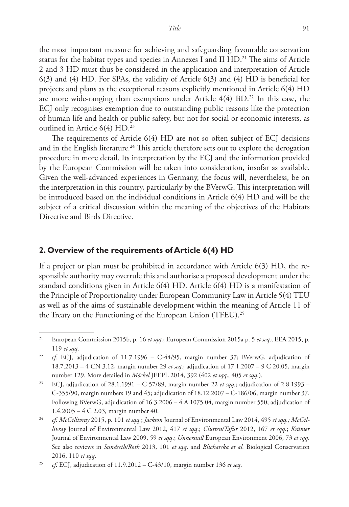the most important measure for achieving and safeguarding favourable conservation status for the habitat types and species in Annexes I and II  $HD<sup>21</sup>$  The aims of Article 2 and 3 HD must thus be considered in the application and interpretation of Article 6(3) and (4) HD. For SPAs, the validity of Article 6(3) and (4) HD is beneficial for projects and plans as the exceptional reasons explicitly mentioned in Article 6(4) HD are more wide-ranging than exemptions under Article  $4(4)$  BD.<sup>22</sup> In this case, the ECJ only recognises exemption due to outstanding public reasons like the protection of human life and health or public safety, but not for social or economic interests, as outlined in Article 6(4) HD.<sup>23</sup>

The requirements of Article 6(4) HD are not so often subject of ECJ decisions and in the English literature.<sup>24</sup> This article therefore sets out to explore the derogation procedure in more detail. Its interpretation by the ECJ and the information provided by the European Commission will be taken into consideration, insofar as available. Given the well-advanced experiences in Germany, the focus will, nevertheless, be on the interpretation in this country, particularly by the BVerwG. This interpretation will be introduced based on the individual conditions in Article 6(4) HD and will be the subject of a critical discussion within the meaning of the objectives of the Habitats Directive and Birds Directive.

#### **2. Overview of the requirements of Article 6(4) HD**

If a project or plan must be prohibited in accordance with Article 6(3) HD, the responsible authority may overrule this and authorise a proposed development under the standard conditions given in Article 6(4) HD. Article 6(4) HD is a manifestation of the Principle of Proportionality under European Community Law in Article 5(4) TEU as well as of the aims of sustainable development within the meaning of Article 11 of the Treaty on the Functioning of the European Union (TFEU).25

<sup>21</sup> European Commission 2015b, p. 16 *et sqq*.; European Commission 2015a p. 5 *et seq*.; EEA 2015, p. 119 *et sqq*.

<sup>&</sup>lt;sup>22</sup> *cf.* ECJ, adjudication of 11.7.1996 – C-44/95, margin number 37; BVerwG, adjudication of 18.7.2013 – 4 CN 3.12, margin number 29 *et seq*.; adjudication of 17.1.2007 – 9 C 20.05, margin number 129. More detailed in *Möckel* JEEPL 2014, 392 (402 *et sqq*., 405 *et sqq*.).

<sup>23</sup> ECJ, adjudication of 28.1.1991 – C-57/89, margin number 22 *et sqq.*; adjudication of 2.8.1993 – C-355/90, margin numbers 19 and 45; adjudication of 18.12.2007 – C-186/06, margin number 37. Following BVerwG, adjudication of 16.3.2006 – 4 A 1075.04, margin number 550; adjudication of 1.4.2005 – 4 C 2.03, margin number 40.

<sup>24</sup> *cf. McGillivray* 2015, p. 101 *et sqq.*; *Jackson* Journal of Environmental Law 2014, 495 *et sqq.; McGillivray* Journal of Environmental Law 2012, 417 *et sqq*.; *Clutten/Tafur* 2012, 167 *et sqq.*; *Krämer* Journal of Environmental Law 2009, 59 *et sqq*.; *Unnerstall* European Environment 2006, 73 *et sqq*. See also reviews in *Sundseth/Roth* 2013, 101 *et sqq*. and *Blicharska et al.* Biological Conservation 2016, 110 *et sqq*.

<sup>25</sup> *cf*. ECJ, adjudication of 11.9.2012 – C-43/10, margin number 136 *et seq*.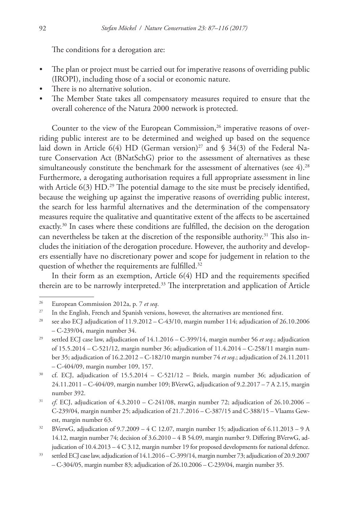The conditions for a derogation are:

- The plan or project must be carried out for imperative reasons of overriding public (IROPI), including those of a social or economic nature.
- There is no alternative solution.
- The Member State takes all compensatory measures required to ensure that the overall coherence of the Natura 2000 network is protected.

Counter to the view of the European Commission, $26$  imperative reasons of overriding public interest are to be determined and weighed up based on the sequence laid down in Article 6(4) HD (German version)<sup>27</sup> and § 34(3) of the Federal Nature Conservation Act (BNatSchG) prior to the assessment of alternatives as these simultaneously constitute the benchmark for the assessment of alternatives (see  $4$ ).<sup>28</sup> Furthermore, a derogating authorisation requires a full appropriate assessment in line with Article 6(3) HD.<sup>29</sup> The potential damage to the site must be precisely identified, because the weighing up against the imperative reasons of overriding public interest, the search for less harmful alternatives and the determination of the compensatory measures require the qualitative and quantitative extent of the affects to be ascertained exactly.30 In cases where these conditions are fulfilled, the decision on the derogation can nevertheless be taken at the discretion of the responsible authority.<sup>31</sup> This also includes the initiation of the derogation procedure. However, the authority and developers essentially have no discretionary power and scope for judgement in relation to the question of whether the requirements are fulfilled.<sup>32</sup>

In their form as an exemption, Article 6(4) HD and the requirements specified therein are to be narrowly interpreted.<sup>33</sup> The interpretation and application of Article

<sup>26</sup> European Commission 2012a, p. 7 *et seq*.

<sup>&</sup>lt;sup>27</sup> In the English, French and Spanish versions, however, the alternatives are mentioned first.

<sup>&</sup>lt;sup>28</sup> see also ECJ adjudication of  $11.9.2012 - C-43/10$ , margin number  $114$ ; adjudication of 26.10.2006 – C-239/04, margin number 34.

<sup>29</sup> settled ECJ case law, adjudication of 14.1.2016 – C-399/14, margin number 56 *et seq*.; adjudication of 15.5.2014 – C-521/12, margin number 36; adjudication of 11.4.2014 – C-258/11 margin number 35; adjudication of 16.2.2012 – C-182/10 margin number 74 *et seq*.; adjudication of 24.11.2011 – C-404/09, margin number 109, 157.

<sup>&</sup>lt;sup>30</sup> cf. ECJ, adjudication of  $15.5.2014 - C-521/12$  – Briels, margin number 36; adjudication of 24.11.2011 – C-404/09, margin number 109; BVerwG, adjudication of 9.2.2017 – 7 A 2.15, margin number 392.

<sup>&</sup>lt;sup>31</sup> *cf.* ECJ, adjudication of  $4.3.2010 - C-241/08$ , margin number 72; adjudication of  $26.10.2006 -$ C-239/04, margin number 25; adjudication of 21.7.2016 – C-387/15 and C-388/15 – Vlaams Gewest, margin number 63.

<sup>&</sup>lt;sup>32</sup> BVerwG, adjudication of  $9.7.2009 - 4$  C 12.07, margin number 15; adjudication of 6.11.2013 – 9 A 14.12, margin number 74; decision of 3.6.2010 – 4 B 54.09, margin number 9. Differing BVerwG, adjudication of 10.4.2013 – 4 C 3.12, margin number 19 for proposed developments for national defence.

<sup>33</sup> settled ECJ case law, adjudication of 14.1.2016 – C-399/14, margin number 73; adjudication of 20.9.2007 – C-304/05, margin number 83; adjudication of 26.10.2006 – C-239/04, margin number 35.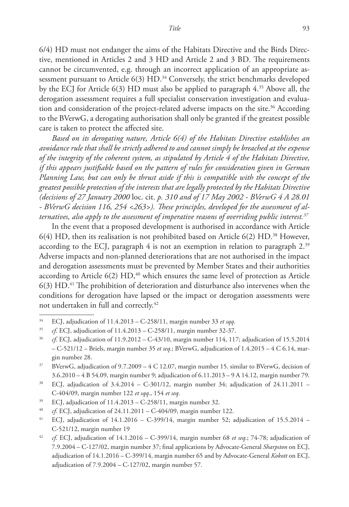6/4) HD must not endanger the aims of the Habitats Directive and the Birds Directive, mentioned in Articles 2 and 3 HD and Article 2 and 3 BD. The requirements cannot be circumvented, e.g. through an incorrect application of an appropriate assessment pursuant to Article  $6(3)$  HD.<sup>34</sup> Conversely, the strict benchmarks developed by the ECJ for Article 6(3) HD must also be applied to paragraph 4.35 Above all, the derogation assessment requires a full specialist conservation investigation and evaluation and consideration of the project-related adverse impacts on the site.<sup>36</sup> According to the BVerwG, a derogating authorisation shall only be granted if the greatest possible care is taken to protect the affected site.

*Based on its derogating nature, Article 6(4) of the Habitats Directive establishes an avoidance rule that shall be strictly adhered to and cannot simply be breached at the expense of the integrity of the coherent system, as stipulated by Article 4 of the Habitats Directive, if this appears justifiable based on the pattern of rules for consideration given in German Planning Law, but can only be thrust aside if this is compatible with the concept of the greatest possible protection of the interests that are legally protected by the Habitats Directive (decisions of 27 January 2000* loc. cit. *p. 310 and of 17 May 2002 - BVerwG 4 A 28.01 - BVerwG decision 116, 254 <263>). These principles, developed for the assessment of alternatives, also apply to the assessment of imperative reasons of overriding public interest.37*

In the event that a proposed development is authorised in accordance with Article  $6(4)$  HD, then its realisation is not prohibited based on Article  $6(2)$  HD.<sup>38</sup> However, according to the ECJ, paragraph 4 is not an exemption in relation to paragraph  $2^{39}$ Adverse impacts and non-planned deteriorations that are not authorised in the impact and derogation assessments must be prevented by Member States and their authorities according to Article  $6(2)$  HD,<sup>40</sup> which ensures the same level of protection as Article  $6(3)$  HD.<sup>41</sup> The prohibition of deterioration and disturbance also intervenes when the conditions for derogation have lapsed or the impact or derogation assessments were not undertaken in full and correctly.42

<sup>34</sup> ECJ, adjudication of 11.4.2013 – C-258/11, margin number 33 *et sqq*.

<sup>35</sup> *cf*. ECJ, adjudication of 11.4.2013 – C-258/11, margin number 32-37.

<sup>36</sup> *cf*. ECJ, adjudication of 11.9.2012 – C-43/10, margin number 114, 117; adjudication of 15.5.2014 – C-521/12 – Briels, margin number 35 *et seq*.; BVerwG, adjudication of 1.4.2015 – 4 C 6.14, margin number 28.

<sup>&</sup>lt;sup>37</sup> BVerwG, adjudication of 9.7.2009 – 4 C 12.07, margin number 15. similar to BVerwG, decision of 3.6.2010 – 4 B 54.09, margin number 9; adjudication of 6.11.2013 – 9 A 14.12, margin number 79.

<sup>&</sup>lt;sup>38</sup> ECJ, adjudication of  $3.4.2014 - C_301/12$ , margin number 34; adjudication of  $24.11.2011 -$ C-404/09, margin number 122 *et sqq*., 154 *et seq*.

 $39$  ECJ, adjudication of  $11.4.2013 - C-258/11$ , margin number 32.

<sup>40</sup> *cf*. ECJ, adjudication of 24.11.2011 – C-404/09, margin number 122.

<sup>&</sup>lt;sup>41</sup> ECJ, adjudication of  $14.1.2016 - C-399/14$ , margin number 52; adjudication of  $15.5.2014 -$ C-521/12, margin number 19

<sup>42</sup> *cf*. ECJ, adjudication of 14.1.2016 – C-399/14, margin number 68 *et seq*.; 74-78; adjudication of 7.9.2004 – C-127/02, margin number 37; final applications by Advocate-General *Sharpston* on ECJ, adjudication of 14.1.2016 – C-399/14, margin number 65 and by Advocate-General *Kokott* on ECJ, adjudication of 7.9.2004 – C-127/02, margin number 57.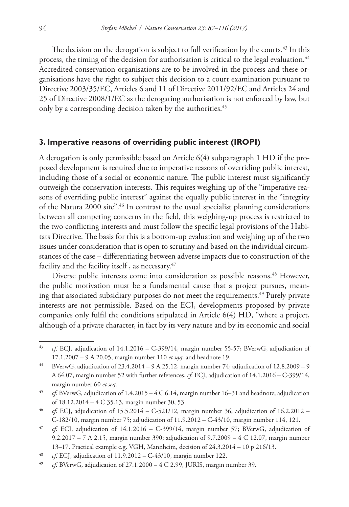The decision on the derogation is subject to full verification by the courts.<sup>43</sup> In this process, the timing of the decision for authorisation is critical to the legal evaluation.<sup>44</sup> Accredited conservation organisations are to be involved in the process and these organisations have the right to subject this decision to a court examination pursuant to Directive 2003/35/EC, Articles 6 and 11 of Directive 2011/92/EC and Articles 24 and 25 of Directive 2008/1/EC as the derogating authorisation is not enforced by law, but only by a corresponding decision taken by the authorities.<sup>45</sup>

## **3. Imperative reasons of overriding public interest (IROPI)**

A derogation is only permissible based on Article 6(4) subparagraph 1 HD if the proposed development is required due to imperative reasons of overriding public interest, including those of a social or economic nature. The public interest must significantly outweigh the conservation interests. This requires weighing up of the "imperative reasons of overriding public interest" against the equally public interest in the "integrity of the Natura 2000 site".46 In contrast to the usual specialist planning considerations between all competing concerns in the field, this weighing-up process is restricted to the two conflicting interests and must follow the specific legal provisions of the Habitats Directive. The basis for this is a bottom-up evaluation and weighing up of the two issues under consideration that is open to scrutiny and based on the individual circumstances of the case – differentiating between adverse impacts due to construction of the facility and the facility itself, as necessary.<sup>47</sup>

Diverse public interests come into consideration as possible reasons.<sup>48</sup> However, the public motivation must be a fundamental cause that a project pursues, meaning that associated subsidiary purposes do not meet the requirements.<sup>49</sup> Purely private interests are not permissible. Based on the ECJ, developments proposed by private companies only fulfil the conditions stipulated in Article 6(4) HD, "where a project, although of a private character, in fact by its very nature and by its economic and social

<sup>43</sup> *cf*. ECJ, adjudication of 14.1.2016 – C-399/14, margin number 55-57; BVerwG, adjudication of 17.1.2007 – 9 A 20.05, margin number 110 *et sqq*. and headnote 19.

<sup>44</sup> BVerwG, adjudication of 23.4.2014 – 9 A 25.12, margin number 74; adjudication of 12.8.2009 – 9 A 64.07, margin number 52 with further references. *cf*. ECJ, adjudication of 14.1.2016 – C-399/14, margin number 60 *et seq*.

<sup>45</sup> *cf*. BVerwG, adjudication of 1.4.2015 – 4 C 6.14, margin number 16–31 and headnote; adjudication of 18.12.2014 – 4 C 35.13, margin number 30, 53

<sup>46</sup> *cf*. ECJ, adjudication of 15.5.2014 – C-521/12, margin number 36; adjudication of 16.2.2012 – C-182/10, margin number 75; adjudication of 11.9.2012 – C-43/10, margin number 114, 121.

<sup>47</sup> *cf*. ECJ, adjudication of 14.1.2016 – C-399/14, margin number 57; BVerwG, adjudication of 9.2.2017 – 7 A 2.15, margin number 390; adjudication of 9.7.2009 – 4 C 12.07, margin number 13–17. Practical example e.g. VGH, Mannheim, decision of 24.3.2014 – 10 p 216/13.

<sup>48</sup> *cf*. ECJ, adjudication of 11.9.2012 – C-43/10, margin number 122.

<sup>49</sup> *cf*. BVerwG, adjudication of 27.1.2000 – 4 C 2.99, JURIS, margin number 39.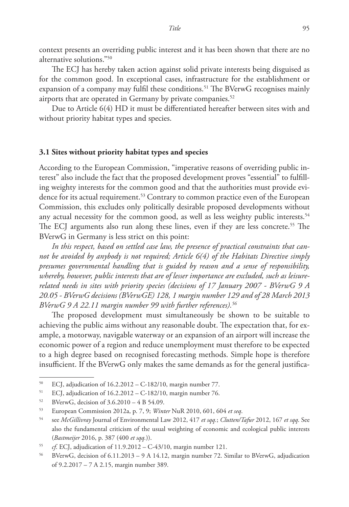context presents an overriding public interest and it has been shown that there are no alternative solutions."50

The ECJ has hereby taken action against solid private interests being disguised as for the common good. In exceptional cases, infrastructure for the establishment or expansion of a company may fulfil these conditions.<sup>51</sup> The BVerwG recognises mainly airports that are operated in Germany by private companies.<sup>52</sup>

Due to Article 6(4) HD it must be differentiated hereafter between sites with and without priority habitat types and species.

### **3.1 Sites without priority habitat types and species**

According to the European Commission, "imperative reasons of overriding public interest" also include the fact that the proposed development proves "essential" to fulfilling weighty interests for the common good and that the authorities must provide evidence for its actual requirement.53 Contrary to common practice even of the European Commission, this excludes only politically desirable proposed developments without any actual necessity for the common good, as well as less weighty public interests.<sup>54</sup> The ECJ arguments also run along these lines, even if they are less concrete.55 The BVerwG in Germany is less strict on this point:

*In this respect, based on settled case law, the presence of practical constraints that cannot be avoided by anybody is not required; Article 6(4) of the Habitats Directive simply presumes governmental handling that is guided by reason and a sense of responsibility, whereby, however, public interests that are of lesser importance are excluded, such as leisurerelated needs in sites with priority species (decisions of 17 January 2007 - BVerwG 9 A 20.05 - BVerwG decisions (BVerwGE) 128, 1 margin number 129 and of 28 March 2013 BVerwG 9 A 22.11 margin number 99 with further references).56*

The proposed development must simultaneously be shown to be suitable to achieving the public aims without any reasonable doubt. The expectation that, for example, a motorway, navigable waterway or an expansion of an airport will increase the economic power of a region and reduce unemployment must therefore to be expected to a high degree based on recognised forecasting methods. Simple hope is therefore insufficient. If the BVerwG only makes the same demands as for the general justifica-

 $50$  ECJ, adjudication of  $16.2.2012 - C-182/10$ , margin number 77.

<sup>51</sup> ECJ, adjudication of 16.2.2012 – C-182/10, margin number 76.

<sup>52</sup> BVerwG, decision of 3.6.2010 – 4 B 54.09.

<sup>53</sup> European Commission 2012a, p. 7, 9; *Winter* NuR 2010, 601, 604 *et seq*.

<sup>54</sup> see *McGillivray* Journal of Environmental Law 2012, 417 *et sqq.*; *Clutten/Tafur* 2012, 167 *et sqq*. See also the fundamental criticism of the usual weighting of economic and ecological public interests (*Bastmeijer* 2016, p. 387 (400 *et sqq.*)).

<sup>55</sup> *cf*. ECJ, adjudication of 11.9.2012 – C-43/10, margin number 121.

<sup>56</sup> BVerwG, decision of 6.11.2013 – 9 A 14.12, margin number 72. Similar to BVerwG, adjudication of 9.2.2017 – 7 A 2.15, margin number 389.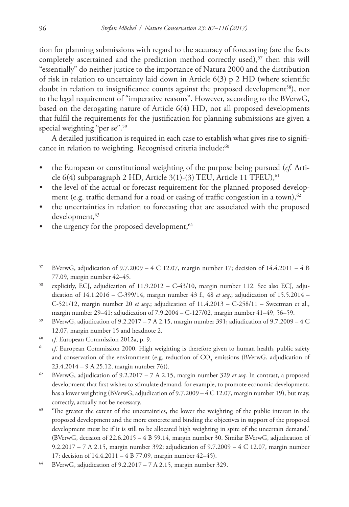tion for planning submissions with regard to the accuracy of forecasting (are the facts completely ascertained and the prediction method correctly used), $57$  then this will "essentially" do neither justice to the importance of Natura 2000 and the distribution of risk in relation to uncertainty laid down in Article  $6(3)$  p 2 HD (where scientific doubt in relation to insignificance counts against the proposed development<sup>58</sup>), nor to the legal requirement of "imperative reasons". However, according to the BVerwG, based on the derogating nature of Article 6(4) HD, not all proposed developments that fulfil the requirements for the justification for planning submissions are given a special weighting "per se".<sup>59</sup>

A detailed justification is required in each case to establish what gives rise to significance in relation to weighting. Recognised criteria include:<sup>60</sup>

- the European or constitutional weighting of the purpose being pursued (*cf.* Article 6(4) subparagraph 2 HD, Article 3(1)-(3) TEU, Article 11 TFEU),  $61$
- the level of the actual or forecast requirement for the planned proposed development (e.g. traffic demand for a road or easing of traffic congestion in a town),  $62$
- the uncertainties in relation to forecasting that are associated with the proposed development, 63
- the urgency for the proposed development, 64

<sup>&</sup>lt;sup>57</sup> BVerwG, adjudication of 9.7.2009 – 4 C 12.07, margin number 17; decision of 14.4.2011 – 4 B 77.09, margin number 42–45.

<sup>58</sup> explicitly, ECJ, adjudication of 11.9.2012 – C-43/10, margin number 112. See also ECJ, adjudication of 14.1.2016 – C-399/14, margin number 43 f., 48 *et seq*.; adjudication of 15.5.2014 – C-521/12, margin number 20 *et seq*.; adjudication of 11.4.2013 – C-258/11 – Sweetman et al., margin number 29–41; adjudication of 7.9.2004 – C-127/02, margin number 41–49, 56–59.

<sup>&</sup>lt;sup>59</sup> BVerwG, adjudication of 9.2.2017 – 7 A 2.15, margin number 391; adjudication of 9.7.2009 – 4 C 12.07, margin number 15 and headnote 2.

<sup>60</sup> *cf*. European Commission 2012a, p. 9.

<sup>&</sup>lt;sup>61</sup> *cf*. European Commission 2000. High weighting is therefore given to human health, public safety and conservation of the environment (e.g. reduction of  $\mathrm{CO}_2$  emissions (BVerwG, adjudication of 23.4.2014 – 9 A 25.12, margin number 76)).

<sup>62</sup> BVerwG, adjudication of 9.2.2017 – 7 A 2.15, margin number 329 *et seq.* In contrast, a proposed development that first wishes to stimulate demand, for example, to promote economic development, has a lower weighting (BVerwG, adjudication of 9.7.2009 – 4 C 12.07, margin number 19), but may, correctly, actually not be necessary.

<sup>&</sup>lt;sup>63</sup> 'The greater the extent of the uncertainties, the lower the weighting of the public interest in the proposed development and the more concrete and binding the objectives in support of the proposed development must be if it is still to be allocated high weighting in spite of the uncertain demand.' (BVerwG, decision of 22.6.2015 – 4 B 59.14, margin number 30. Similar BVerwG, adjudication of 9.2.2017 – 7 A 2.15, margin number 392; adjudication of 9.7.2009 – 4 C 12.07, margin number 17; decision of 14.4.2011 – 4 B 77.09, margin number 42–45).

<sup>&</sup>lt;sup>64</sup> BVerwG, adjudication of  $9.2.2017 - 7$  A 2.15, margin number 329.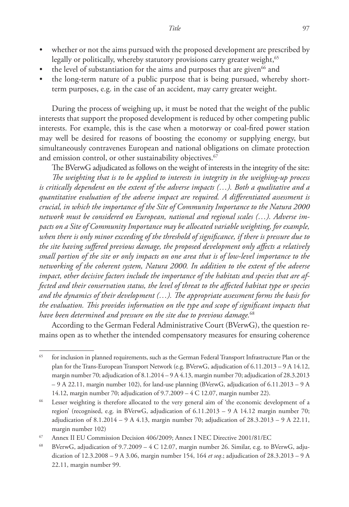- whether or not the aims pursued with the proposed development are prescribed by legally or politically, whereby statutory provisions carry greater weight,<sup>65</sup>
- the level of substantiation for the aims and purposes that are given<sup>66</sup> and
- the long-term nature of a public purpose that is being pursued, whereby shortterm purposes, e.g. in the case of an accident, may carry greater weight.

During the process of weighing up, it must be noted that the weight of the public interests that support the proposed development is reduced by other competing public interests. For example, this is the case when a motorway or coal-fired power station may well be desired for reasons of boosting the economy or supplying energy, but simultaneously contravenes European and national obligations on climate protection and emission control, or other sustainability objectives.<sup>67</sup>

The BVerwG adjudicated as follows on the weight of interests in the integrity of the site: *The weighting that is to be applied to interests in integrity in the weighing-up process is critically dependent on the extent of the adverse impacts (…). Both a qualitative and a quantitative evaluation of the adverse impact are required. A differentiated assessment is crucial, in which the importance of the Site of Community Importance to the Natura 2000 network must be considered on European, national and regional scales (…). Adverse impacts on a Site of Community Importance may be allocated variable weighting, for example, when there is only minor exceeding of the threshold of significance, if there is pressure due to the site having suffered previous damage, the proposed development only affects a relatively small portion of the site or only impacts on one area that is of low-level importance to the networking of the coherent system, Natura 2000. In addition to the extent of the adverse impact, other decisive factors include the importance of the habitats and species that are affected and their conservation status, the level of threat to the affected habitat type or species and the dynamics of their development (…). The appropriate assessment forms the basis for the evaluation. This provides information on the type and scope of significant impacts that have been determined and pressure on the site due to previous damage.*<sup>68</sup>

According to the German Federal Administrative Court (BVerwG), the question remains open as to whether the intended compensatory measures for ensuring coherence

<sup>&</sup>lt;sup>65</sup> for inclusion in planned requirements, such as the German Federal Transport Infrastructure Plan or the plan for the Trans-European Transport Network (e.g. BVerwG, adjudication of 6.11.2013 – 9 A 14.12, margin number 70; adjudication of 8.1.2014 – 9 A 4.13, margin number 70; adjudication of 28.3.2013 – 9 A 22.11, margin number 102), for land-use planning (BVerwG, adjudication of 6.11.2013 – 9 A 14.12, margin number 70; adjudication of 9.7.2009 – 4 C 12.07, margin number 22).

<sup>66</sup> Lesser weighting is therefore allocated to the very general aim of 'the economic development of a region' (recognised, e.g. in BVerwG, adjudication of 6.11.2013 – 9 A 14.12 margin number 70; adjudication of  $8.1.2014 - 9$  A  $4.13$ , margin number 70; adjudication of  $28.3.2013 - 9$  A  $22.11$ , margin number 102)

<sup>67</sup> Annex II EU Commission Decision 406/2009; Annex I NEC Directive 2001/81/EC

<sup>&</sup>lt;sup>68</sup> BVerwG, adjudication of  $9.7.2009 - 4$  C 12.07, margin number 26. Similar, e.g. to BVerwG, adjudication of 12.3.2008 – 9 A 3.06, margin number 154, 164 *et seq*.; adjudication of 28.3.2013 – 9 A 22.11, margin number 99.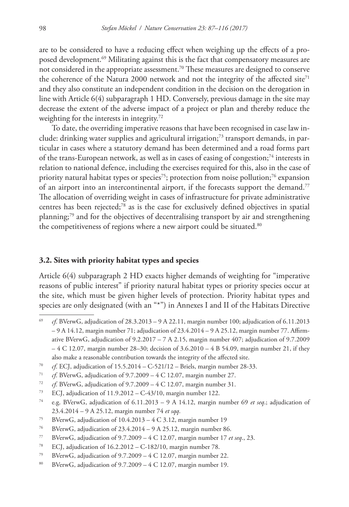are to be considered to have a reducing effect when weighing up the effects of a proposed development.<sup>69</sup> Militating against this is the fact that compensatory measures are not considered in the appropriate assessment.70 These measures are designed to conserve the coherence of the Natura 2000 network and not the integrity of the affected site<sup>71</sup> and they also constitute an independent condition in the decision on the derogation in line with Article 6(4) subparagraph 1 HD. Conversely, previous damage in the site may decrease the extent of the adverse impact of a project or plan and thereby reduce the weighting for the interests in integrity.<sup>72</sup>

To date, the overriding imperative reasons that have been recognised in case law include: drinking water supplies and agricultural irrigation;<sup>73</sup> transport demands, in particular in cases where a statutory demand has been determined and a road forms part of the trans-European network, as well as in cases of easing of congestion;<sup>74</sup> interests in relation to national defence, including the exercises required for this, also in the case of priority natural habitat types or species<sup>75</sup>; protection from noise pollution;<sup>76</sup> expansion of an airport into an intercontinental airport, if the forecasts support the demand.<sup>77</sup> The allocation of overriding weight in cases of infrastructure for private administrative centres has been rejected;78 as is the case for exclusively defined objectives in spatial planning;79 and for the objectives of decentralising transport by air and strengthening the competitiveness of regions where a new airport could be situated.<sup>80</sup>

#### **3.2. Sites with priority habitat types and species**

Article 6(4) subparagraph 2 HD exacts higher demands of weighting for "imperative reasons of public interest" if priority natural habitat types or priority species occur at the site, which must be given higher levels of protection. Priority habitat types and species are only designated (with an "\*") in Annexes I and II of the Habitats Directive

<sup>69</sup> *cf*. BVerwG, adjudication of 28.3.2013 – 9 A 22.11, margin number 100; adjudication of 6.11.2013 – 9 A 14.12, margin number 71; adjudication of 23.4.2014 – 9 A 25.12, margin number 77. Affirmative BVerwG, adjudication of 9.2.2017 – 7 A 2.15, margin number 407; adjudication of 9.7.2009 – 4 C 12.07, margin number 28–30; decision of 3.6.2010 – 4 B 54.09, margin number 21, if they also make a reasonable contribution towards the integrity of the affected site.

<sup>70</sup> *cf*. ECJ, adjudication of 15.5.2014 – C-521/12 – Briels, margin number 28-33.

<sup>71</sup> *cf*. BVerwG, adjudication of 9.7.2009 – 4 C 12.07, margin number 27.

<sup>72</sup> *cf*. BVerwG, adjudication of 9.7.2009 – 4 C 12.07, margin number 31.

<sup>73</sup> ECJ, adjudication of 11.9.2012 – C-43/10, margin number 122.

<sup>74</sup> e.g. BVerwG, adjudication of 6.11.2013 – 9 A 14.12, margin number 69 *et seq*.; adjudication of 23.4.2014 – 9 A 25.12, margin number 74 *et sqq*.

<sup>75</sup> BVerwG, adjudication of 10.4.2013 – 4 C 3.12, margin number 19

<sup>76</sup> BVerwG, adjudication of 23.4.2014 – 9 A 25.12, margin number 86.

<sup>77</sup> BVerwG, adjudication of 9.7.2009 – 4 C 12.07, margin number 17 *et seq*., 23.

<sup>78</sup> ECJ, adjudication of 16.2.2012 – C-182/10, margin number 78.

<sup>&</sup>lt;sup>79</sup> BVerwG, adjudication of  $9.7.2009 - 4$  C 12.07, margin number 22.

<sup>&</sup>lt;sup>80</sup> BVerwG, adjudication of  $9.7.2009 - 4$  C 12.07, margin number 19.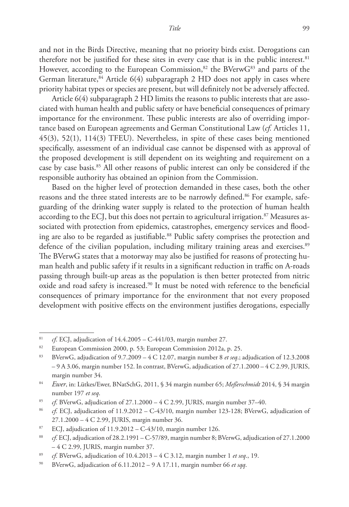and not in the Birds Directive, meaning that no priority birds exist. Derogations can therefore not be justified for these sites in every case that is in the public interest.<sup>81</sup> However, according to the European Commission,<sup>82</sup> the BVerwG<sup>83</sup> and parts of the German literature,  $84$  Article 6(4) subparagraph 2 HD does not apply in cases where priority habitat types or species are present, but will definitely not be adversely affected.

Article 6(4) subparagraph 2 HD limits the reasons to public interests that are associated with human health and public safety or have beneficial consequences of primary importance for the environment. These public interests are also of overriding importance based on European agreements and German Constitutional Law (*cf.* Articles 11, 45(3), 52(1), 114(3) TFEU). Nevertheless, in spite of these cases being mentioned specifically, assessment of an individual case cannot be dispensed with as approval of the proposed development is still dependent on its weighting and requirement on a case by case basis.85 All other reasons of public interest can only be considered if the responsible authority has obtained an opinion from the Commission.

Based on the higher level of protection demanded in these cases, both the other reasons and the three stated interests are to be narrowly defined.<sup>86</sup> For example, safeguarding of the drinking water supply is related to the protection of human health according to the ECJ, but this does not pertain to agricultural irrigation.<sup>87</sup> Measures associated with protection from epidemics, catastrophes, emergency services and flooding are also to be regarded as justifiable.<sup>88</sup> Public safety comprises the protection and defence of the civilian population, including military training areas and exercises.<sup>89</sup> The BVerwG states that a motorway may also be justified for reasons of protecting human health and public safety if it results in a significant reduction in traffic on A-roads passing through built-up areas as the population is then better protected from nitric oxide and road safety is increased.90 It must be noted with reference to the beneficial consequences of primary importance for the environment that not every proposed development with positive effects on the environment justifies derogations, especially

<sup>&</sup>lt;sup>81</sup> *cf.* ECJ, adjudication of  $14.4.2005 - C-441/03$ , margin number 27.

<sup>&</sup>lt;sup>82</sup> European Commission 2000, p. 53; European Commission 2012a, p. 25.

<sup>83</sup> BVerwG, adjudication of 9.7.2009 – 4 C 12.07, margin number 8 *et seq*.; adjudication of 12.3.2008 – 9 A 3.06, margin number 152. In contrast, BVerwG, adjudication of 27.1.2000 – 4 C 2.99, JURIS, margin number 34.

<sup>84</sup> *Ewer*, in: Lütkes/Ewer, BNatSchG, 2011, § 34 margin number 65; *Meßerschmidt* 2014, § 34 margin number 197 *et seq*.

<sup>85</sup> *cf*. BVerwG, adjudication of 27.1.2000 – 4 C 2.99, JURIS, margin number 37–40.

<sup>86</sup> *cf*. ECJ, adjudication of 11.9.2012 – C-43/10, margin number 123-128; BVerwG, adjudication of 27.1.2000 – 4 C 2.99, JURIS, margin number 36.

<sup>&</sup>lt;sup>87</sup> ECJ, adjudication of  $11.9.2012 - C-43/10$ , margin number 126.

<sup>88</sup> *cf*. ECJ, adjudication of 28.2.1991 – C-57/89, margin number 8; BVerwG, adjudication of 27.1.2000 – 4 C 2.99, JURIS, margin number 37.

<sup>89</sup> *cf*. BVerwG, adjudication of 10.4.2013 – 4 C 3.12, margin number 1 *et seq*., 19.

<sup>90</sup> BVerwG, adjudication of 6.11.2012 – 9 A 17.11, margin number 66 *et sqq*.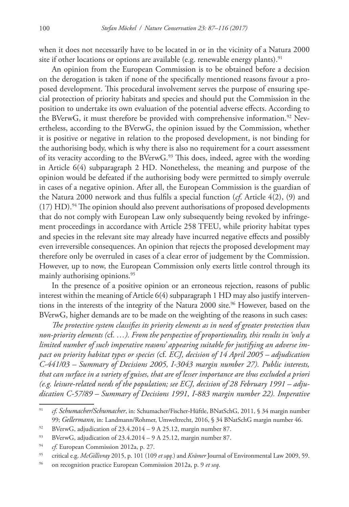when it does not necessarily have to be located in or in the vicinity of a Natura 2000 site if other locations or options are available (e.g. renewable energy plants).<sup>91</sup>

An opinion from the European Commission is to be obtained before a decision on the derogation is taken if none of the specifically mentioned reasons favour a proposed development. This procedural involvement serves the purpose of ensuring special protection of priority habitats and species and should put the Commission in the position to undertake its own evaluation of the potential adverse effects. According to the BVerwG, it must therefore be provided with comprehensive information.<sup>92</sup> Nevertheless, according to the BVerwG, the opinion issued by the Commission, whether it is positive or negative in relation to the proposed development, is not binding for the authorising body, which is why there is also no requirement for a court assessment of its veracity according to the BVerwG.<sup>93</sup> This does, indeed, agree with the wording in Article 6(4) subparagraph 2 HD. Nonetheless, the meaning and purpose of the opinion would be defeated if the authorising body were permitted to simply overrule in cases of a negative opinion. After all, the European Commission is the guardian of the Natura 2000 network and thus fulfils a special function (*cf*. Article 4(2), (9) and  $(17)$  HD).<sup>94</sup> The opinion should also prevent authorisations of proposed developments that do not comply with European Law only subsequently being revoked by infringement proceedings in accordance with Article 258 TFEU, while priority habitat types and species in the relevant site may already have incurred negative effects and possibly even irreversible consequences. An opinion that rejects the proposed development may therefore only be overruled in cases of a clear error of judgement by the Commission. However, up to now, the European Commission only exerts little control through its mainly authorising opinions.<sup>95</sup>

In the presence of a positive opinion or an erroneous rejection, reasons of public interest within the meaning of Article 6(4) subparagraph 1 HD may also justify interventions in the interests of the integrity of the Natura 2000 site.<sup>96</sup> However, based on the BVerwG, higher demands are to be made on the weighting of the reasons in such cases:

*The protective system classifies its priority elements as in need of greater protection than non-priority elements (*cf*. …). From the perspective of proportionality, this results in 'only a limited number of such imperative reasons' appearing suitable for justifying an adverse impact on priority habitat types or species (*cf*. ECJ, decision of 14 April 2005 – adjudication C-441/03 – Summary of Decisions 2005, I-3043 margin number 27). Public interests, that can surface in a variety of guises, that are of lesser importance are thus excluded a priori (e.g. leisure-related needs of the population; see ECJ, decision of 28 February 1991 – adjudication C-57/89 – Summary of Decisions 1991, I-883 margin number 22). Imperative* 

<sup>91</sup> *cf*. *Schumacher/Schumacher*, in: Schumacher/Fischer-Hüftle, BNatSchG, 2011, § 34 margin number 99; *Gellermann*, in: Landmann/Rohmer, Umweltrecht, 2016, § 34 BNatSchG margin number 46.

<sup>&</sup>lt;sup>92</sup> BVerwG, adjudication of  $23.4.2014 - 9$  A 25.12, margin number 87.

<sup>93</sup> BVerwG, adjudication of 23.4.2014 – 9 A 25.12, margin number 87.

<sup>&</sup>lt;sup>94</sup> *cf.* European Commission 2012a, p. 27.

<sup>95</sup> critical e.g. *McGillivray* 2015, p. 101 (109 *et sqq.*) and *Krämer* Journal of Environmental Law 2009, 59.

<sup>96</sup> on recognition practice European Commission 2012a, p. 9 *et seq*.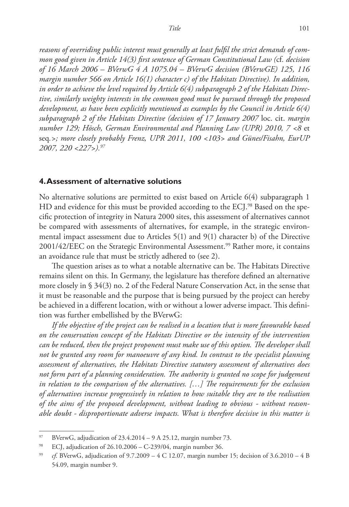*reasons of overriding public interest must generally at least fulfil the strict demands of common good given in Article 14(3) first sentence of German Constitutional Law (*cf*. decision of 16 March 2006 – BVerwG 4 A 1075.04 – BVerwG decision (BVerwGE) 125, 116 margin number 566 on Article 16(1) character c) of the Habitats Directive). In addition, in order to achieve the level required by Article 6(4) subparagraph 2 of the Habitats Directive, similarly weighty interests in the common good must be pursued through the proposed development, as have been explicitly mentioned as examples by the Council in Article 6(4) subparagraph 2 of the Habitats Directive (decision of 17 January 2007* loc. cit. *margin number 129; Hösch, German Environmental and Planning Law (UPR) 2010, 7 <8* et seq*.>; more closely probably Frenz, UPR 2011, 100 <103> and Günes/Fisahn, EurUP 2007, 220 <227>).97*

#### **4. Assessment of alternative solutions**

No alternative solutions are permitted to exist based on Article 6(4) subparagraph 1 HD and evidence for this must be provided according to the ECJ.<sup>98</sup> Based on the specific protection of integrity in Natura 2000 sites, this assessment of alternatives cannot be compared with assessments of alternatives, for example, in the strategic environmental impact assessment due to Articles 5(1) and 9(1) character b) of the Directive  $2001/42/EEC$  on the Strategic Environmental Assessment.<sup>99</sup> Rather more, it contains an avoidance rule that must be strictly adhered to (see 2).

The question arises as to what a notable alternative can be. The Habitats Directive remains silent on this. In Germany, the legislature has therefore defined an alternative more closely in § 34(3) no. 2 of the Federal Nature Conservation Act, in the sense that it must be reasonable and the purpose that is being pursued by the project can hereby be achieved in a different location, with or without a lower adverse impact. This definition was further embellished by the BVerwG:

*If the objective of the project can be realised in a location that is more favourable based on the conservation concept of the Habitats Directive or the intensity of the intervention can be reduced, then the project proponent must make use of this option. The developer shall not be granted any room for manoeuvre of any kind. In contrast to the specialist planning assessment of alternatives, the Habitats Directive statutory assessment of alternatives does not form part of a planning consideration. The authority is granted no scope for judgement in relation to the comparison of the alternatives. […] The requirements for the exclusion of alternatives increase progressively in relation to how suitable they are to the realisation of the aims of the proposed development, without leading to obvious - without reasonable doubt - disproportionate adverse impacts. What is therefore decisive in this matter is* 

<sup>&</sup>lt;sup>97</sup> BVerwG, adjudication of  $23.4.2014 - 9$  A 25.12, margin number 73.

<sup>98</sup> ECJ, adjudication of 26.10.2006 – C-239/04, margin number 36.

<sup>&</sup>lt;sup>99</sup> *cf*. BVerwG, adjudication of 9.7.2009 – 4 C 12.07, margin number 15; decision of 3.6.2010 – 4 B 54.09, margin number 9.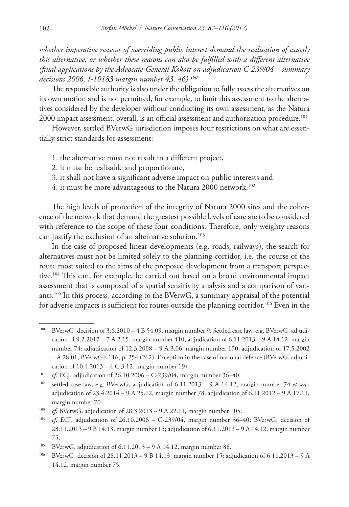*whether imperative reasons of overriding public interest demand the realisation of exactly this alternative, or whether these reasons can also be fulfilled with a different alternative (final applications by the Advocate-General Kokott on adjudication C-239/04 – summary decisions 2006, I-10183 margin number 43, 46).100*

The responsible authority is also under the obligation to fully assess the alternatives on its own motion and is not permitted, for example, to limit this assessment to the alternatives considered by the developer without conducting its own assessment, as the Natura 2000 impact assessment, overall, is an official assessment and authorisation procedure.<sup>101</sup>

However, settled BVerwG jurisdiction imposes four restrictions on what are essentially strict standards for assessment:

- 1. the alternative must not result in a different project,
- 2. it must be realisable and proportionate,
- 3. it shall not have a significant adverse impact on public interests and
- 4. it must be more advantageous to the Natura 2000 network.<sup>102</sup>

The high levels of protection of the integrity of Natura 2000 sites and the coherence of the network that demand the greatest possible levels of care are to be considered with reference to the scope of these four conditions. Therefore, only weighty reasons can justify the exclusion of an alternative solution.<sup>103</sup>

In the case of proposed linear developments (e.g. roads, railways), the search for alternatives must not be limited solely to the planning corridor, i.e. the course of the route most suited to the aims of the proposed development from a transport perspective.104 This can, for example, be carried out based on a broad environmental impact assessment that is composed of a spatial sensitivity analysis and a comparison of variants.105 In this process, according to the BVerwG, a summary appraisal of the potential for adverse impacts is sufficient for routes outside the planning corridor.<sup>106</sup> Even in the

<sup>100</sup> BVerwG, decision of 3.6.2010 – 4 B 54.09, margin number 9. Settled case law, e.g. BVerwG, adjudication of  $9.2.2017 - 7$  A 2.15, margin number 410; adjudication of  $6.11.2013 - 9$  A 14.12, margin number 74; adjudication of 12.3.2008 – 9 A 3.06, margin number 170; adjudication of 17.5.2002 – A 28.01, BVerwGE 116, p. 254 (262). Exception in the case of national defence (BVerwG, adjudication of 10.4.2013 – 4 C 3.12, margin number 19).

<sup>&</sup>lt;sup>101</sup> *cf*. ECJ, adjudication of 26.10.2006 – C-239/04, margin number 36–40.

<sup>102</sup> settled case law, e.g. BVerwG, adjudication of 6.11.2013 – 9 A 14.12, margin number 74 *et seq*.; adjudication of  $23.4.2014 - 9$  A  $25.12$ , margin number 78; adjudication of  $6.11.2012 - 9$  A  $17.11$ , margin number 70.

<sup>103</sup> *cf*. BVerwG, adjudication of 28.3.2013 – 9 A 22.11, margin number 105.

<sup>104</sup> *cf*. ECJ, adjudication of 26.10.2006 – C-239/04, margin number 36–40; BVerwG, decision of 28.11.2013 – 9 B 14.13, margin number 15; adjudication of 6.11.2013 – 9 A 14.12, margin number 75.

<sup>&</sup>lt;sup>105</sup> BVerwG, adjudication of  $6.11.2013 - 9$  A 14.12, margin number 88.

<sup>106</sup> BVerwG, decision of 28.11.2013 – 9 B 14.13, margin number 15; adjudication of 6.11.2013 – 9 A 14.12, margin number 75.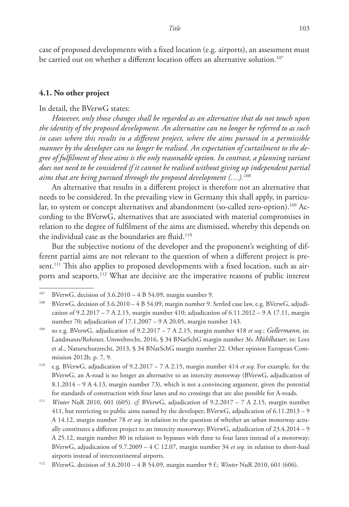case of proposed developments with a fixed location (e.g. airports), an assessment must be carried out on whether a different location offers an alternative solution.<sup>107</sup>

#### **4.1. No other project**

#### In detail, the BVerwG states:

*However, only those changes shall be regarded as an alternative that do not touch upon the identity of the proposed development. An alternative can no longer be referred to as such in cases where this results in a different project, where the aims pursued in a permissible manner by the developer can no longer be realised. An expectation of curtailment to the degree of fulfilment of these aims is the only reasonable option. In contrast, a planning variant does not need to be considered if it cannot be realised without giving up independent partial aims that are being pursued through the proposed development (…).108*

An alternative that results in a different project is therefore not an alternative that needs to be considered. In the prevailing view in Germany this shall apply, in particular, to system or concept alternatives and abandonment (so-called zero-option).<sup>109</sup> According to the BVerwG, alternatives that are associated with material compromises in relation to the degree of fulfilment of the aims are dismissed, whereby this depends on the individual case as the boundaries are fluid.<sup>110</sup>

But the subjective notions of the developer and the proponent's weighting of different partial aims are not relevant to the question of when a different project is present.<sup>111</sup> This also applies to proposed developments with a fixed location, such as airports and seaports.112 What are decisive are the imperative reasons of public interest

<sup>107</sup> BVerwG, decision of 3.6.2010 – 4 B 54.09, margin number 9.

<sup>108</sup> BVerwG, decision of 3.6.2010 – 4 B 54.09, margin number 9. Settled case law, e.g. BVerwG, adjudication of  $9.2.2017 - 7$  A 2.15, margin number 410; adjudication of  $6.11.2012 - 9$  A 17.11, margin number 70; adjudication of 17.1.2007 – 9 A 20.05, margin number 143.

<sup>109</sup> so e.g. BVerwG, adjudication of 9.2.2017 – 7 A 2.15, margin number 418 *et seq.*; *Gellermann*, in: Landmann/Rohmer, Umweltrecht, 2016, § 34 BNatSchG margin number 36; *Mühlbauer*, in: Lorz et al., Naturschutzrecht, 2013, § 34 BNatSchG margin number 22. Other opinion European Commission 2012b, p. 7, 9.

<sup>110</sup> e.g. BVerwG, adjudication of 9.2.2017 – 7 A 2.15, margin number 414 *et seq*. For example, for the BVerwG, an A-road is no longer an alternative to an intercity motorway (BVerwG, adjudication of 8.1.2014 – 9 A 4.13, margin number 73), which is not a convincing argument, given the potential for standards of construction with four lanes and no crossings that are also possible for A-roads.

<sup>111</sup> *Winter* NuR 2010, 601 (605). *cf*. BVerwG, adjudication of 9.2.2017 – 7 A 2.15, margin number 411, but restricting to public aims named by the developer; BVerwG, adjudication of 6.11.2013 – 9 A 14.12, margin number 78 *et seq*. in relation to the question of whether an urban motorway actually constitutes a different project to an intercity motorway; BVerwG, adjudication of 23.4.2014 – 9 A 25.12, margin number 80 in relation to bypasses with three to four lanes instead of a motorway; BVerwG, adjudication of 9.7.2009 – 4 C 12.07, margin number 34 *et seq*. in relation to short-haul airports instead of intercontinental airports.

<sup>112</sup> BVerwG, decision of 3.6.2010 – 4 B 54.09, margin number 9 f.; *Winter* NuR 2010, 601 (606).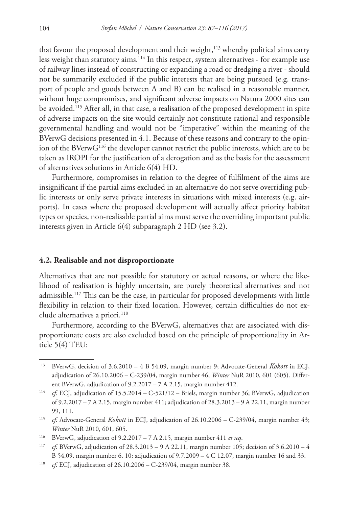that favour the proposed development and their weight,<sup>113</sup> whereby political aims carry less weight than statutory aims.<sup>114</sup> In this respect, system alternatives - for example use of railway lines instead of constructing or expanding a road or dredging a river - should not be summarily excluded if the public interests that are being pursued (e.g. transport of people and goods between A and B) can be realised in a reasonable manner, without huge compromises, and significant adverse impacts on Natura 2000 sites can be avoided.<sup>115</sup> After all, in that case, a realisation of the proposed development in spite of adverse impacts on the site would certainly not constitute rational and responsible governmental handling and would not be "imperative" within the meaning of the BVerwG decisions presented in 4.1. Because of these reasons and contrary to the opinion of the BVerwG116 the developer cannot restrict the public interests, which are to be taken as IROPI for the justification of a derogation and as the basis for the assessment of alternatives solutions in Article 6(4) HD.

Furthermore, compromises in relation to the degree of fulfilment of the aims are insignificant if the partial aims excluded in an alternative do not serve overriding public interests or only serve private interests in situations with mixed interests (e.g. airports). In cases where the proposed development will actually affect priority habitat types or species, non-realisable partial aims must serve the overriding important public interests given in Article 6(4) subparagraph 2 HD (see 3.2).

### **4.2. Realisable and not disproportionate**

Alternatives that are not possible for statutory or actual reasons, or where the likelihood of realisation is highly uncertain, are purely theoretical alternatives and not admissible.117 This can be the case, in particular for proposed developments with little flexibility in relation to their fixed location. However, certain difficulties do not exclude alternatives a priori.<sup>118</sup>

Furthermore, according to the BVerwG, alternatives that are associated with disproportionate costs are also excluded based on the principle of proportionality in Article 5(4) TEU:

<sup>113</sup> BVerwG, decision of 3.6.2010 – 4 B 54.09, margin number 9; Advocate-General *Kokott* in ECJ, adjudication of 26.10.2006 – C-239/04, margin number 46; *Winter* NuR 2010, 601 (605). Different BVerwG, adjudication of 9.2.2017 – 7 A 2.15, margin number 412.

<sup>114</sup> *cf*. ECJ, adjudication of 15.5.2014 – C-521/12 – Briels, margin number 36; BVerwG, adjudication of 9.2.2017 – 7 A 2.15, margin number 411; adjudication of 28.3.2013 – 9 A 22.11, margin number 99, 111.

<sup>115</sup> *cf*. Advocate-General *Kokott* in ECJ, adjudication of 26.10.2006 – C-239/04, margin number 43; *Winter* NuR 2010, 601, 605.

<sup>116</sup> BVerwG, adjudication of 9.2.2017 – 7 A 2.15, margin number 411 *et seq*.

<sup>117</sup> *cf*. BVerwG, adjudication of 28.3.2013 – 9 A 22.11, margin number 105; decision of 3.6.2010 – 4 B 54.09, margin number 6, 10; adjudication of 9.7.2009 – 4 C 12.07, margin number 16 and 33.

<sup>118</sup> *cf*. ECJ, adjudication of 26.10.2006 – C-239/04, margin number 38.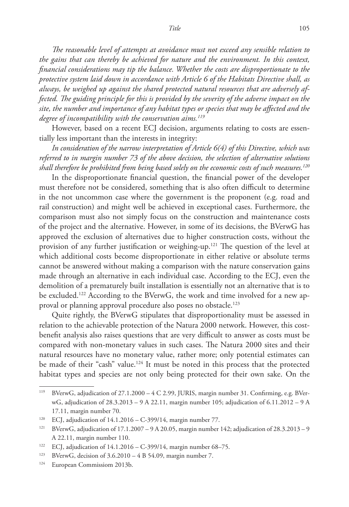*The reasonable level of attempts at avoidance must not exceed any sensible relation to the gains that can thereby be achieved for nature and the environment. In this context, financial considerations may tip the balance. Whether the costs are disproportionate to the protective system laid down in accordance with Article 6 of the Habitats Directive shall, as always, be weighed up against the shared protected natural resources that are adversely affected. The guiding principle for this is provided by the severity of the adverse impact on the site, the number and importance of any habitat types or species that may be affected and the degree of incompatibility with the conservation aims.119*

However, based on a recent ECJ decision, arguments relating to costs are essentially less important than the interests in integrity:

*In consideration of the narrow interpretation of Article 6(4) of this Directive, which was referred to in margin number 73 of the above decision, the selection of alternative solutions shall therefore be prohibited from being based solely on the economic costs of such measures.120*

In the disproportionate financial question, the financial power of the developer must therefore not be considered, something that is also often difficult to determine in the not uncommon case where the government is the proponent (e.g. road and rail construction) and might well be achieved in exceptional cases. Furthermore, the comparison must also not simply focus on the construction and maintenance costs of the project and the alternative. However, in some of its decisions, the BVerwG has approved the exclusion of alternatives due to higher construction costs, without the provision of any further justification or weighing-up.121 The question of the level at which additional costs become disproportionate in either relative or absolute terms cannot be answered without making a comparison with the nature conservation gains made through an alternative in each individual case. According to the ECJ, even the demolition of a prematurely built installation is essentially not an alternative that is to be excluded.<sup>122</sup> According to the BVerwG, the work and time involved for a new approval or planning approval procedure also poses no obstacle.123

Quite rightly, the BVerwG stipulates that disproportionality must be assessed in relation to the achievable protection of the Natura 2000 network. However, this costbenefit analysis also raises questions that are very difficult to answer as costs must be compared with non-monetary values in such cases. The Natura 2000 sites and their natural resources have no monetary value, rather more; only potential estimates can be made of their "cash" value.124 It must be noted in this process that the protected habitat types and species are not only being protected for their own sake. On the

<sup>119</sup> BVerwG, adjudication of 27.1.2000 – 4 C 2.99, JURIS, margin number 31. Confirming, e.g. BVerwG, adjudication of 28.3.2013 – 9 A 22.11, margin number 105; adjudication of 6.11.2012 – 9 A 17.11, margin number 70.

<sup>120</sup> ECJ, adjudication of 14.1.2016 – C-399/14, margin number 77.

<sup>121</sup> BVerwG, adjudication of 17.1.2007 – 9 A 20.05, margin number 142; adjudication of 28.3.2013 – 9 A 22.11, margin number 110.

<sup>122</sup> ECJ, adjudication of 14.1.2016 – C-399/14, margin number 68–75.

<sup>&</sup>lt;sup>123</sup> BVerwG, decision of  $3.6.2010 - 4 B 54.09$ , margin number 7.

<sup>124</sup> European Commissiom 2013b.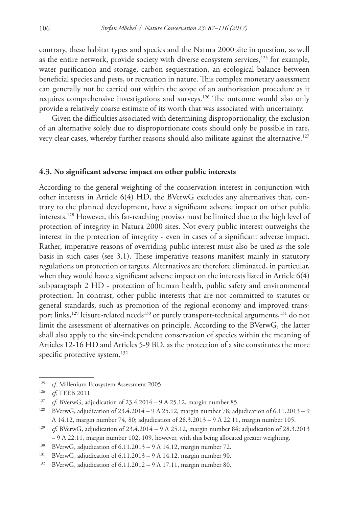contrary, these habitat types and species and the Natura 2000 site in question, as well as the entire network, provide society with diverse ecosystem services, $125$  for example, water purification and storage, carbon sequestration, an ecological balance between beneficial species and pests, or recreation in nature. This complex monetary assessment can generally not be carried out within the scope of an authorisation procedure as it requires comprehensive investigations and surveys.126 The outcome would also only provide a relatively coarse estimate of its worth that was associated with uncertainty.

Given the difficulties associated with determining disproportionality, the exclusion of an alternative solely due to disproportionate costs should only be possible in rare, very clear cases, whereby further reasons should also militate against the alternative.<sup>127</sup>

#### **4.3. No significant adverse impact on other public interests**

According to the general weighting of the conservation interest in conjunction with other interests in Article 6(4) HD, the BVerwG excludes any alternatives that, contrary to the planned development, have a significant adverse impact on other public interests.128 However, this far-reaching proviso must be limited due to the high level of protection of integrity in Natura 2000 sites. Not every public interest outweighs the interest in the protection of integrity - even in cases of a significant adverse impact. Rather, imperative reasons of overriding public interest must also be used as the sole basis in such cases (see 3.1). These imperative reasons manifest mainly in statutory regulations on protection or targets. Alternatives are therefore eliminated, in particular, when they would have a significant adverse impact on the interests listed in Article  $6(4)$ subparagraph 2 HD - protection of human health, public safety and environmental protection. In contrast, other public interests that are not committed to statutes or general standards, such as promotion of the regional economy and improved transport links,<sup>129</sup> leisure-related needs<sup>130</sup> or purely transport-technical arguments,<sup>131</sup> do not limit the assessment of alternatives on principle. According to the BVerwG, the latter shall also apply to the site-independent conservation of species within the meaning of Articles 12-16 HD and Articles 5-9 BD, as the protection of a site constitutes the more specific protective system.<sup>132</sup>

<sup>&</sup>lt;sup>125</sup> *cf*. Millenium Ecosystem Assessment 2005.

<sup>126</sup> *cf*. TEEB 2011.

<sup>&</sup>lt;sup>127</sup> *cf*. BVerwG, adjudication of 23.4.2014 – 9 A 25.12, margin number 85.

<sup>&</sup>lt;sup>128</sup> BVerwG, adjudication of  $23.4.2014 - 9$  A 25.12, margin number 78; adjudication of 6.11.2013 - 9 A 14.12, margin number 74, 80; adjudication of 28.3.2013 – 9 A 22.11, margin number 105.

<sup>129</sup> *cf*. BVerwG, adjudication of 23.4.2014 – 9 A 25.12, margin number 84; adjudication of 28.3.2013 – 9 A 22.11, margin number 102, 109, however, with this being allocated greater weighting.

<sup>&</sup>lt;sup>130</sup> BVerwG, adjudication of 6.11.2013 – 9 A 14.12, margin number 72.

<sup>&</sup>lt;sup>131</sup> BVerwG, adjudication of  $6.11.2013 - 9$  A 14.12, margin number 90.

<sup>132</sup> BVerwG, adjudication of 6.11.2012 – 9 A 17.11, margin number 80.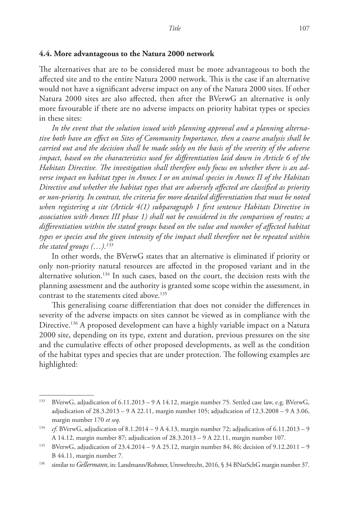#### **4.4. More advantageous to the Natura 2000 network**

The alternatives that are to be considered must be more advantageous to both the affected site and to the entire Natura 2000 network. This is the case if an alternative would not have a significant adverse impact on any of the Natura 2000 sites. If other Natura 2000 sites are also affected, then after the BVerwG an alternative is only more favourable if there are no adverse impacts on priority habitat types or species in these sites:

*In the event that the solution issued with planning approval and a planning alternative both have an effect on Sites of Community Importance, then a coarse analysis shall be carried out and the decision shall be made solely on the basis of the severity of the adverse impact, based on the characteristics used for differentiation laid down in Article 6 of the Habitats Directive. The investigation shall therefore only focus on whether there is an adverse impact on habitat types in Annex I or on animal species in Annex II of the Habitats Directive and whether the habitat types that are adversely affected are classified as priority or non-priority. In contrast, the criteria for more detailed differentiation that must be noted when registering a site (Article 4(1) subparagraph 1 first sentence Habitats Directive in association with Annex III phase 1) shall not be considered in the comparison of routes; a differentiation within the stated groups based on the value and number of affected habitat types or species and the given intensity of the impact shall therefore not be repeated within the stated groups (…).133*

In other words, the BVerwG states that an alternative is eliminated if priority or only non-priority natural resources are affected in the proposed variant and in the alternative solution.<sup>134</sup> In such cases, based on the court, the decision rests with the planning assessment and the authority is granted some scope within the assessment, in contrast to the statements cited above.<sup>135</sup>

This generalising coarse differentiation that does not consider the differences in severity of the adverse impacts on sites cannot be viewed as in compliance with the Directive.<sup>136</sup> A proposed development can have a highly variable impact on a Natura 2000 site, depending on its type, extent and duration, previous pressures on the site and the cumulative effects of other proposed developments, as well as the condition of the habitat types and species that are under protection. The following examples are highlighted:

<sup>133</sup> BVerwG, adjudication of 6.11.2013 – 9 A 14.12, margin number 75. Settled case law, e.g. BVerwG, adjudication of 28.3.2013 – 9 A 22.11, margin number 105; adjudication of 12.3.2008 – 9 A 3.06, margin number 170 *et seq*.

<sup>134</sup> *cf*. BVerwG, adjudication of 8.1.2014 – 9 A 4.13, margin number 72; adjudication of 6.11.2013 – 9 A 14.12, margin number 87; adjudication of 28.3.2013 – 9 A 22.11, margin number 107.

<sup>135</sup> BVerwG, adjudication of 23.4.2014 – 9 A 25.12, margin number 84, 86; decision of 9.12.2011 – 9 B 44.11, margin number 7.

<sup>136</sup> similar to *Gellermann*, in: Landmann/Rohmer, Umweltrecht, 2016, § 34 BNatSchG margin number 37.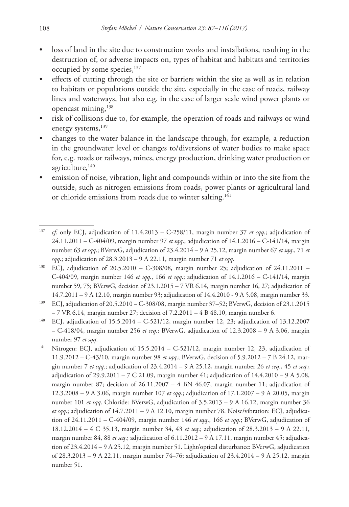- loss of land in the site due to construction works and installations, resulting in the destruction of, or adverse impacts on, types of habitat and habitats and territories occupied by some species, <sup>137</sup>
- effects of cutting through the site or barriers within the site as well as in relation to habitats or populations outside the site, especially in the case of roads, railway lines and waterways, but also e.g. in the case of larger scale wind power plants or opencast mining,138
- risk of collisions due to, for example, the operation of roads and railways or wind energy systems, 139
- changes to the water balance in the landscape through, for example, a reduction in the groundwater level or changes to/diversions of water bodies to make space for, e.g. roads or railways, mines, energy production, drinking water production or agriculture,<sup>140</sup>
- emission of noise, vibration, light and compounds within or into the site from the outside, such as nitrogen emissions from roads, power plants or agricultural land or chloride emissions from roads due to winter salting.<sup>141</sup>

<sup>140</sup> ECJ, adjudication of 15.5.2014 – C-521/12, margin number 12, 23; adjudication of 13.12.2007 – C-418/04, margin number 256 *et seq*.; BVerwG, adjudication of 12.3.2008 – 9 A 3.06, margin number 97 *et sqq*.

<sup>137</sup> *cf*. only ECJ, adjudication of 11.4.2013 – C-258/11, margin number 37 *et sqq*.; adjudication of 24.11.2011 – C-404/09, margin number 97 *et sqq*.; adjudication of 14.1.2016 – C-141/14, margin number 63 *et sqq*.; BVerwG, adjudication of 23.4.2014 – 9 A 25.12, margin number 67 *et sqq*., 71 *et sqq*.; adjudication of 28.3.2013 – 9 A 22.11, margin number 71 *et sqq*.

<sup>138</sup> ECJ, adjudication of 20.5.2010 – C-308/08, margin number 25; adjudication of 24.11.2011 – C-404/09, margin number 146 *et sqq*., 166 *et sqq*.; adjudication of 14.1.2016 – C-141/14, margin number 59, 75; BVerwG, decision of 23.1.2015 – 7 VR 6.14, margin number 16, 27; adjudication of 14.7.2011 – 9 A 12.10, margin number 93; adjudication of 14.4.2010 - 9 A 5.08, margin number 33.

<sup>139</sup> ECJ, adjudication of 20.5.2010 – C-308/08, margin number 37–52; BVerwG, decision of 23.1.2015 – 7 VR 6.14, margin number 27; decision of 7.2.2011 – 4 B 48.10, margin number 6.

<sup>&</sup>lt;sup>141</sup> Nitrogen: ECJ, adjudication of  $15.5.2014 - C-521/12$ , margin number 12, 23, adjudication of 11.9.2012 – C-43/10, margin number 98 *et sqq*.; BVerwG, decision of 5.9.2012 – 7 B 24.12, margin number 7 *et sqq*.; adjudication of 23.4.2014 – 9 A 25.12, margin number 26 *et seq*., 45 *et seq*.; adjudication of  $29.9.2011 - 7$  C  $21.09$ , margin number 41; adjudication of  $14.4.2010 - 9$  A  $5.08$ , margin number 87; decision of 26.11.2007 – 4 BN 46.07, margin number 11; adjudication of 12.3.2008 – 9 A 3.06, margin number 107 *et sqq*.; adjudication of 17.1.2007 – 9 A 20.05, margin number 101 *et sqq*. Chloride: BVerwG, adjudication of 3.5.2013 – 9 A 16.12, margin number 36 *et sqq*.; adjudication of 14.7.2011 – 9 A 12.10, margin number 78. Noise/vibration: ECJ, adjudication of 24.11.2011 – C-404/09, margin number 146 *et sqq*., 166 *et sqq*.; BVerwG, adjudication of 18.12.2014 – 4 C 35.13, margin number 34, 43 *et seq*.; adjudication of 28.3.2013 – 9 A 22.11, margin number 84, 88 *et seq*.; adjudication of 6.11.2012 – 9 A 17.11, margin number 45; adjudication of 23.4.2014 – 9 A 25.12, margin number 51. Light/optical disturbance: BVerwG, adjudication of 28.3.2013 – 9 A 22.11, margin number 74–76; adjudication of 23.4.2014 – 9 A 25.12, margin number 51.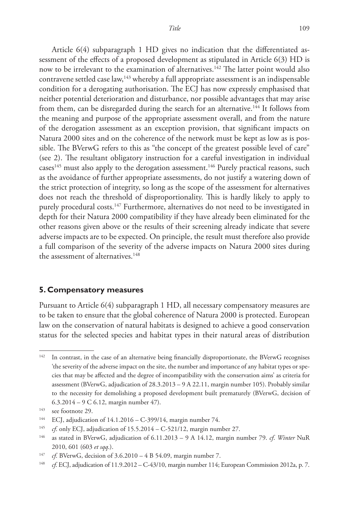Article 6(4) subparagraph 1 HD gives no indication that the differentiated assessment of the effects of a proposed development as stipulated in Article 6(3) HD is now to be irrelevant to the examination of alternatives.<sup>142</sup> The latter point would also contravene settled case law,143 whereby a full appropriate assessment is an indispensable condition for a derogating authorisation. The ECJ has now expressly emphasised that neither potential deterioration and disturbance, nor possible advantages that may arise from them, can be disregarded during the search for an alternative.<sup>144</sup> It follows from the meaning and purpose of the appropriate assessment overall, and from the nature of the derogation assessment as an exception provision, that significant impacts on Natura 2000 sites and on the coherence of the network must be kept as low as is possible. The BVerwG refers to this as "the concept of the greatest possible level of care" (see 2). The resultant obligatory instruction for a careful investigation in individual cases<sup>145</sup> must also apply to the derogation assessment.<sup>146</sup> Purely practical reasons, such as the avoidance of further appropriate assessments, do not justify a watering down of the strict protection of integrity, so long as the scope of the assessment for alternatives does not reach the threshold of disproportionality. This is hardly likely to apply to purely procedural costs.<sup>147</sup> Furthermore, alternatives do not need to be investigated in depth for their Natura 2000 compatibility if they have already been eliminated for the other reasons given above or the results of their screening already indicate that severe adverse impacts are to be expected. On principle, the result must therefore also provide a full comparison of the severity of the adverse impacts on Natura 2000 sites during the assessment of alternatives.<sup>148</sup>

#### **5. Compensatory measures**

Pursuant to Article 6(4) subparagraph 1 HD, all necessary compensatory measures are to be taken to ensure that the global coherence of Natura 2000 is protected. European law on the conservation of natural habitats is designed to achieve a good conservation status for the selected species and habitat types in their natural areas of distribution

<sup>&</sup>lt;sup>142</sup> In contrast, in the case of an alternative being financially disproportionate, the BVerwG recognises 'the severity of the adverse impact on the site, the number and importance of any habitat types or species that may be affected and the degree of incompatibility with the conservation aims' as criteria for assessment (BVerwG, adjudication of 28.3.2013 – 9 A 22.11, margin number 105). Probably similar to the necessity for demolishing a proposed development built prematurely (BVerwG, decision of 6.3.2014 – 9 C 6.12, margin number 47).

<sup>143</sup> see footnote 29.

<sup>144</sup> ECJ, adjudication of 14.1.2016 – C-399/14, margin number 74.

<sup>&</sup>lt;sup>145</sup> *cf.* only ECJ, adjudication of 15.5.2014 - C-521/12, margin number 27.

<sup>146</sup> as stated in BVerwG, adjudication of 6.11.2013 – 9 A 14.12, margin number 79. *cf*. *Winter* NuR 2010, 601 (603 *et sqq*.).

<sup>147</sup> *cf*. BVerwG, decision of 3.6.2010 – 4 B 54.09, margin number 7.

<sup>&</sup>lt;sup>148</sup> *cf*. ECJ, adjudication of 11.9.2012 – C-43/10, margin number 114; European Commission 2012a, p. 7.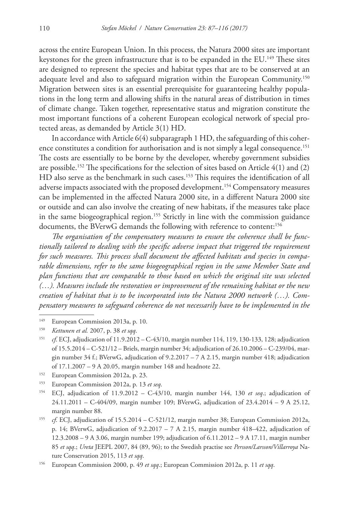across the entire European Union. In this process, the Natura 2000 sites are important keystones for the green infrastructure that is to be expanded in the EU.<sup>149</sup> These sites are designed to represent the species and habitat types that are to be conserved at an adequate level and also to safeguard migration within the European Community.<sup>150</sup> Migration between sites is an essential prerequisite for guaranteeing healthy populations in the long term and allowing shifts in the natural areas of distribution in times of climate change. Taken together, representative status and migration constitute the most important functions of a coherent European ecological network of special protected areas, as demanded by Article 3(1) HD.

In accordance with Article 6(4) subparagraph 1 HD, the safeguarding of this coherence constitutes a condition for authorisation and is not simply a legal consequence.<sup>151</sup> The costs are essentially to be borne by the developer, whereby government subsidies are possible.<sup>152</sup> The specifications for the selection of sites based on Article  $4(1)$  and  $(2)$ HD also serve as the benchmark in such cases.<sup>153</sup> This requires the identification of all adverse impacts associated with the proposed development.154 Compensatory measures can be implemented in the affected Natura 2000 site, in a different Natura 2000 site or outside and can also involve the creating of new habitats, if the measures take place in the same biogeographical region.<sup>155</sup> Strictly in line with the commission guidance documents, the BVerwG demands the following with reference to content:<sup>156</sup>

*The organisation of the compensatory measures to ensure the coherence shall be functionally tailored to dealing with the specific adverse impact that triggered the requirement for such measures. This process shall document the affected habitats and species in comparable dimensions, refer to the same biogeographical region in the same Member State and plan functions that are comparable to those based on which the original site was selected (…). Measures include the restoration or improvement of the remaining habitat or the new creation of habitat that is to be incorporated into the Natura 2000 network (…). Compensatory measures to safeguard coherence do not necessarily have to be implemented in the* 

- <sup>152</sup> European Commission 2012a, p. 23.
- <sup>153</sup> European Commission 2012a, p. 13 *et seq*.
- <sup>154</sup> ECJ, adjudication of 11.9.2012 C-43/10, margin number 144, 130 *et seq.*; adjudication of 24.11.2011 – C-404/09, margin number 109; BVerwG, adjudication of 23.4.2014 – 9 A 25.12, margin number 88.
- <sup>155</sup> *cf*. ECJ, adjudication of 15.5.2014 C-521/12, margin number 38; European Commission 2012a, p. 14; BVerwG, adjudication of 9.2.2017 – 7 A 2.15, margin number 418–422, adjudication of 12.3.2008 – 9 A 3.06, margin number 199; adjudication of 6.11.2012 – 9 A 17.11, margin number 85 *et sqq*.; *Ureta* JEEPL 2007, 84 (89, 96); to the Swedish practise see *Persson/Larsson/Villarroya* Nature Conservation 2015, 113 *et sqq*.
- <sup>156</sup> European Commission 2000, p. 49 *et sqq*.; European Commission 2012a, p. 11 *et sqq*.

<sup>149</sup> European Commission 2013a, p. 10.

<sup>150</sup> *Kettunen et al.* 2007, p. 38 *et sqq*.

<sup>151</sup> *cf*. ECJ, adjudication of 11.9.2012 – C-43/10, margin number 114, 119, 130-133, 128; adjudication of 15.5.2014 – C-521/12 – Briels, margin number 34; adjudication of 26.10.2006 – C-239/04, margin number 34 f.; BVerwG, adjudication of  $9.2.2017 - 7$  A 2.15, margin number 418; adjudication of 17.1.2007 – 9 A 20.05, margin number 148 and headnote 22.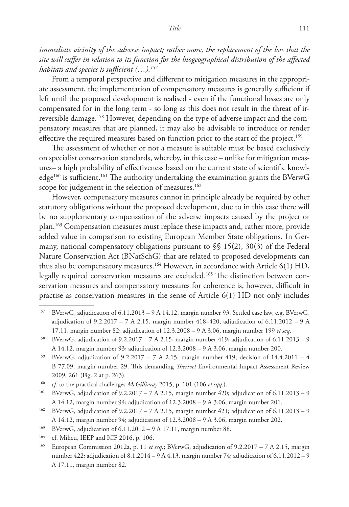*immediate vicinity of the adverse impact; rather more, the replacement of the loss that the site will suffer in relation to its function for the biogeographical distribution of the affected habitats and species is sufficient (…).157*

From a temporal perspective and different to mitigation measures in the appropriate assessment, the implementation of compensatory measures is generally sufficient if left until the proposed development is realised - even if the functional losses are only compensated for in the long term - so long as this does not result in the threat of irreversible damage.158 However, depending on the type of adverse impact and the compensatory measures that are planned, it may also be advisable to introduce or render effective the required measures based on function prior to the start of the project.<sup>159</sup>

The assessment of whether or not a measure is suitable must be based exclusively on specialist conservation standards, whereby, in this case – unlike for mitigation measures– a high probability of effectiveness based on the current state of scientific knowledge<sup>160</sup> is sufficient.<sup>161</sup> The authority undertaking the examination grants the BVerwG scope for judgement in the selection of measures.<sup>162</sup>

However, compensatory measures cannot in principle already be required by other statutory obligations without the proposed development, due to in this case there will be no supplementary compensation of the adverse impacts caused by the project or plan.163 Compensation measures must replace these impacts and, rather more, provide added value in comparison to existing European Member State obligations. In Germany, national compensatory obligations pursuant to  $\$  15(2), 30(3) of the Federal Nature Conservation Act (BNatSchG) that are related to proposed developments can thus also be compensatory measures.<sup>164</sup> However, in accordance with Article  $6(1)$  HD, legally required conservation measures are excluded.165 The distinction between conservation measures and compensatory measures for coherence is, however, difficult in practise as conservation measures in the sense of Article 6(1) HD not only includes

<sup>157</sup> BVerwG, adjudication of 6.11.2013 – 9 A 14.12, margin number 93. Settled case law, e.g. BVerwG, adjudication of  $9.2.2017 - 7$  A 2.15, margin number 418–420, adjudication of  $6.11.2012 - 9$  A 17.11, margin number 82; adjudication of 12.3.2008 – 9 A 3.06, margin number 199 *et seq*.

<sup>&</sup>lt;sup>158</sup> BVerwG, adjudication of 9.2.2017 – 7 A 2.15, margin number 419; adjudication of 6.11.2013 – 9 A 14.12, margin number 93; adjudication of 12.3.2008 – 9 A 3.06, margin number 200.

<sup>&</sup>lt;sup>159</sup> BVerwG, adjudication of  $9.2.2017 - 7$  A 2.15, margin number 419; decision of  $14.4.2011 - 4$ B 77.09, margin number 29. This demanding *Therivel* Environmental Impact Assessment Review 2009, 261 (Fig. 2 at p. 263).

<sup>160</sup> *cf.* to the practical challenges *McGillivray* 2015, p. 101 (106 *et sqq.*).

<sup>&</sup>lt;sup>161</sup> BVerwG, adjudication of  $9.2.2017 - 7$  A 2.15, margin number 420; adjudication of 6.11.2013 – 9 A 14.12, margin number 94; adjudication of 12.3.2008 – 9 A 3.06, margin number 201.

<sup>&</sup>lt;sup>162</sup> BVerwG, adjudication of 9.2.2017 – 7 A 2.15, margin number 421; adjudication of 6.11.2013 – 9 A 14.12, margin number 94; adjudication of 12.3.2008 – 9 A 3.06, margin number 202.

<sup>&</sup>lt;sup>163</sup> BVerwG, adjudication of  $6.11.2012 - 9$  A 17.11, margin number 88.

<sup>&</sup>lt;sup>164</sup> cf. Milieu, IEEP and ICF 2016, p. 106.

<sup>165</sup> European Commission 2012a, p. 11 *et seq*.; BVerwG, adjudication of 9.2.2017 – 7 A 2.15, margin number 422; adjudication of 8.1.2014 – 9 A 4.13, margin number 74; adjudication of 6.11.2012 – 9 A 17.11, margin number 82.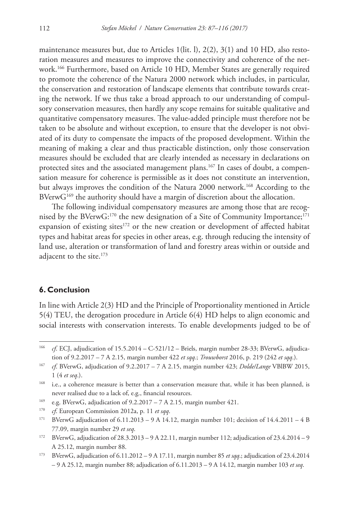maintenance measures but, due to Articles 1(lit. l), 2(2), 3(1) and 10 HD, also restoration measures and measures to improve the connectivity and coherence of the network.166 Furthermore, based on Article 10 HD, Member States are generally required to promote the coherence of the Natura 2000 network which includes, in particular, the conservation and restoration of landscape elements that contribute towards creating the network. If we thus take a broad approach to our understanding of compulsory conservation measures, then hardly any scope remains for suitable qualitative and quantitative compensatory measures. The value-added principle must therefore not be taken to be absolute and without exception, to ensure that the developer is not obviated of its duty to compensate the impacts of the proposed development. Within the meaning of making a clear and thus practicable distinction, only those conservation measures should be excluded that are clearly intended as necessary in declarations on protected sites and the associated management plans.<sup>167</sup> In cases of doubt, a compensation measure for coherence is permissible as it does not constitute an intervention, but always improves the condition of the Natura 2000 network.<sup>168</sup> According to the BVerwG<sup>169</sup> the authority should have a margin of discretion about the allocation.

The following individual compensatory measures are among those that are recognised by the BVerw $G:^{170}$  the new designation of a Site of Community Importance;<sup>171</sup> expansion of existing sites $172$  or the new creation or development of affected habitat types and habitat areas for species in other areas, e.g. through reducing the intensity of land use, alteration or transformation of land and forestry areas within or outside and adjacent to the site.<sup>173</sup>

## **6. Conclusion**

In line with Article 2(3) HD and the Principle of Proportionality mentioned in Article 5(4) TEU, the derogation procedure in Article 6(4) HD helps to align economic and social interests with conservation interests. To enable developments judged to be of

<sup>169</sup> e.g. BVerwG, adjudication of  $9.2.2017 - 7$  A 2.15, margin number 421.

- <sup>172</sup> BVerwG, adjudication of 28.3.2013 9 A 22.11, margin number 112; adjudication of 23.4.2014 9 A 25.12, margin number 88.
- <sup>173</sup> BVerwG, adjudication of 6.11.2012 9 A 17.11, margin number 85 *et sqq*.; adjudication of 23.4.2014 – 9 A 25.12, margin number 88; adjudication of 6.11.2013 – 9 A 14.12, margin number 103 *et seq*.

<sup>166</sup> *cf*. ECJ, adjudication of 15.5.2014 – C-521/12 – Briels, margin number 28-33; BVerwG, adjudication of 9.2.2017 – 7 A 2.15, margin number 422 *et sqq.*; *Trouwborst* 2016, p. 219 (242 *et sqq*.).

<sup>167</sup> *cf*. BVerwG, adjudication of 9.2.2017 – 7 A 2.15, margin number 423; *Dolde/Lange* VBlBW 2015, 1 (4 *et seq*.).

<sup>&</sup>lt;sup>168</sup> i.e., a coherence measure is better than a conservation measure that, while it has been planned, is never realised due to a lack of, e.g., financial resources.

<sup>170</sup> *cf*. European Commission 2012a, p. 11 *et sqq*.

<sup>&</sup>lt;sup>171</sup> BVerwG adjudication of  $6.11.2013 - 9$  A 14.12, margin number 101; decision of  $14.4.2011 - 4$  B 77.09, margin number 29 *et seq*.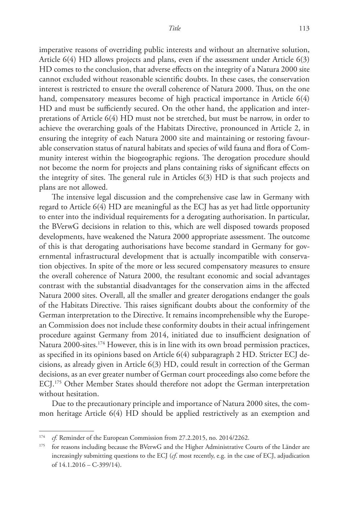imperative reasons of overriding public interests and without an alternative solution, Article 6(4) HD allows projects and plans, even if the assessment under Article 6(3) HD comes to the conclusion, that adverse effects on the integrity of a Natura 2000 site cannot excluded without reasonable scientific doubts. In these cases, the conservation interest is restricted to ensure the overall coherence of Natura 2000. Thus, on the one hand, compensatory measures become of high practical importance in Article 6(4) HD and must be sufficiently secured. On the other hand, the application and interpretations of Article 6(4) HD must not be stretched, but must be narrow, in order to achieve the overarching goals of the Habitats Directive, pronounced in Article 2, in ensuring the integrity of each Natura 2000 site and maintaining or restoring favourable conservation status of natural habitats and species of wild fauna and flora of Community interest within the biogeographic regions. The derogation procedure should not become the norm for projects and plans containing risks of significant effects on the integrity of sites. The general rule in Articles 6(3) HD is that such projects and plans are not allowed.

The intensive legal discussion and the comprehensive case law in Germany with regard to Article 6(4) HD are meaningful as the ECJ has as yet had little opportunity to enter into the individual requirements for a derogating authorisation. In particular, the BVerwG decisions in relation to this, which are well disposed towards proposed developments, have weakened the Natura 2000 appropriate assessment. The outcome of this is that derogating authorisations have become standard in Germany for governmental infrastructural development that is actually incompatible with conservation objectives. In spite of the more or less secured compensatory measures to ensure the overall coherence of Natura 2000, the resultant economic and social advantages contrast with the substantial disadvantages for the conservation aims in the affected Natura 2000 sites. Overall, all the smaller and greater derogations endanger the goals of the Habitats Directive. This raises significant doubts about the conformity of the German interpretation to the Directive. It remains incomprehensible why the European Commission does not include these conformity doubts in their actual infringement procedure against Germany from 2014, initiated due to insufficient designation of Natura 2000-sites.<sup>174</sup> However, this is in line with its own broad permission practices, as specified in its opinions based on Article 6(4) subparagraph 2 HD. Stricter ECJ decisions, as already given in Article 6(3) HD, could result in correction of the German decisions, as an ever greater number of German court proceedings also come before the ECJ.175 Other Member States should therefore not adopt the German interpretation without hesitation.

Due to the precautionary principle and importance of Natura 2000 sites, the common heritage Article 6(4) HD should be applied restrictively as an exemption and

<sup>&</sup>lt;sup>174</sup> *cf.* Reminder of the European Commission from 27.2.2015, no. 2014/2262.

for reasons including because the BVerwG and the Higher Administrative Courts of the Länder are increasingly submitting questions to the ECJ (*cf*. most recently, e.g. in the case of ECJ, adjudication of 14.1.2016 – C-399/14).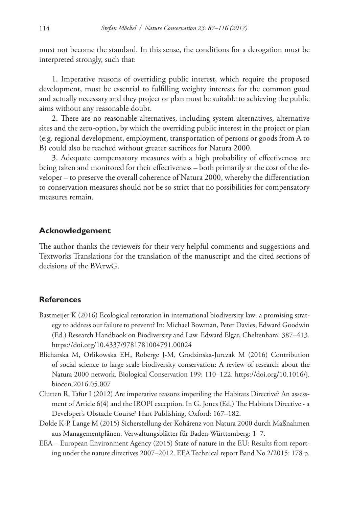must not become the standard. In this sense, the conditions for a derogation must be interpreted strongly, such that:

1. Imperative reasons of overriding public interest, which require the proposed development, must be essential to fulfilling weighty interests for the common good and actually necessary and they project or plan must be suitable to achieving the public aims without any reasonable doubt.

2. There are no reasonable alternatives, including system alternatives, alternative sites and the zero-option, by which the overriding public interest in the project or plan (e.g. regional development, employment, transportation of persons or goods from A to B) could also be reached without greater sacrifices for Natura 2000.

3. Adequate compensatory measures with a high probability of effectiveness are being taken and monitored for their effectiveness – both primarily at the cost of the developer – to preserve the overall coherence of Natura 2000, whereby the differentiation to conservation measures should not be so strict that no possibilities for compensatory measures remain.

## **Acknowledgement**

The author thanks the reviewers for their very helpful comments and suggestions and Textworks Translations for the translation of the manuscript and the cited sections of decisions of the BVerwG.

### **References**

- Bastmeijer K (2016) Ecological restoration in international biodiversity law: a promising strategy to address our failure to prevent? In: Michael Bowman, Peter Davies, Edward Goodwin (Ed.) Research Handbook on Biodiversity and Law. Edward Elgar, Cheltenham: 387–413. <https://doi.org/10.4337/9781781004791.00024>
- Blicharska M, Orlikowska EH, Roberge J-M, Grodzinska-Jurczak M (2016) Contribution of social science to large scale biodiversity conservation: A review of research about the Natura 2000 network. Biological Conservation 199: 110–122. [https://doi.org/10.1016/j.](https://doi.org/10.1016/j.biocon.2016.05.007) [biocon.2016.05.007](https://doi.org/10.1016/j.biocon.2016.05.007)
- Clutten R, Tafur I (2012) Are imperative reasons imperiling the Habitats Directive? An assessment of Article 6(4) and the IROPI exception. In G. Jones (Ed.) The Habitats Directive - a Developer's Obstacle Course? Hart Publishing, Oxford: 167–182.
- Dolde K-P, Lange M (2015) Sicherstellung der Kohärenz von Natura 2000 durch Maßnahmen aus Managementplänen. Verwaltungsblätter für Baden-Württemberg: 1–7.
- EEA European Environment Agency (2015) State of nature in the EU: Results from reporting under the nature directives 2007–2012. EEA Technical report Band No 2/2015: 178 p.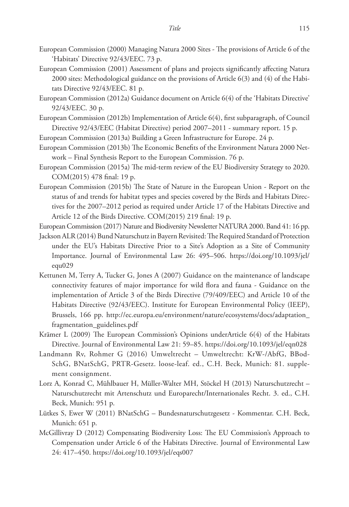- European Commission (2000) Managing Natura 2000 Sites The provisions of Article 6 of the 'Habitats' Directive 92/43/EEC. 73 p.
- European Commission (2001) Assessment of plans and projects significantly affecting Natura 2000 sites: Methodological guidance on the provisions of Article 6(3) and (4) of the Habitats Directive 92/43/EEC. 81 p.
- European Commission (2012a) Guidance document on Article 6(4) of the 'Habitats Directive' 92/43/EEC. 30 p.
- European Commission (2012b) Implementation of Article 6(4), first subparagraph, of Council Directive 92/43/EEC (Habitat Directive) period 2007–2011 - summary report. 15 p.
- European Commission (2013a) Building a Green Infrastructure for Europe. 24 p.
- European Commission (2013b) The Economic Benefits of the Environment Natura 2000 Network – Final Synthesis Report to the European Commission. 76 p.
- European Commission (2015a) The mid-term review of the EU Biodiversity Strategy to 2020. COM(2015) 478 final: 19 p.
- European Commission (2015b) The State of Nature in the European Union Report on the status of and trends for habitat types and species covered by the Birds and Habitats Directives for the 2007–2012 period as required under Article 17 of the Habitats Directive and Article 12 of the Birds Directive. COM(2015) 219 final: 19 p.
- European Commission (2017) Nature and Biodiversity Newsletter NATURA 2000. Band 41: 16 pp.
- Jackson ALR (2014) Bund Naturschutz in Bayern Revisited: The Required Standard of Protection under the EU's Habitats Directive Prior to a Site's Adoption as a Site of Community Importance. Journal of Environmental Law 26: 495–506. [https://doi.org/10.1093/jel/](https://doi.org/10.1093/jel/equ029) [equ029](https://doi.org/10.1093/jel/equ029)
- Kettunen M, Terry A, Tucker G, Jones A (2007) Guidance on the maintenance of landscape connectivity features of major importance for wild flora and fauna - Guidance on the implementation of Article 3 of the Birds Directive (79/409/EEC) and Article 10 of the Habitats Directive (92/43/EEC). Institute for European Environmental Policy (IEEP), Brussels, 166 pp. [http://ec.europa.eu/environment/nature/ecosystems/docs/adaptation\\_](http://ec.europa.eu/environment/nature/ecosystems/docs/adaptation_fragmentation_guidelines.pdf) [fragmentation\\_guidelines.pdf](http://ec.europa.eu/environment/nature/ecosystems/docs/adaptation_fragmentation_guidelines.pdf)
- Krämer L (2009) The European Commission's Opinions underArticle 6(4) of the Habitats Directive. Journal of Environmental Law 21: 59–85. <https://doi.org/10.1093/jel/eqn028>
- Landmann Rv, Rohmer G (2016) Umweltrecht Umweltrecht: KrW-/AbfG, BBod-SchG, BNatSchG, PRTR-Gesetz. loose-leaf. ed., C.H. Beck, Munich: 81. supplement consignment.
- Lorz A, Konrad C, Mühlbauer H, Müller-Walter MH, Stöckel H (2013) Naturschutzrecht Naturschutzrecht mit Artenschutz und Europarecht/Internationales Recht. 3. ed., C.H. Beck, Munich: 951 p.
- Lütkes S, Ewer W (2011) BNatSchG Bundesnaturschutzgesetz Kommentar. C.H. Beck, Munich: 651 p.
- McGillivray D (2012) Compensating Biodiversity Loss: The EU Commission's Approach to Compensation under Article 6 of the Habitats Directive. Journal of Environmental Law 24: 417–450.<https://doi.org/10.1093/jel/eqs007>